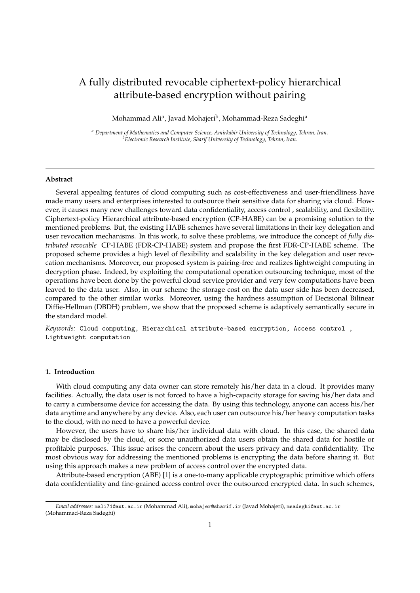# A fully distributed revocable ciphertext-policy hierarchical attribute-based encryption without pairing

Mohammad Ali<sup>a</sup>, Javad Mohajeri<sup>b</sup>, Mohammad-Reza Sadeghi<sup>a</sup>

*<sup>a</sup> Department of Mathematics and Computer Science, Amirkabir University of Technology, Tehran, Iran. <sup>b</sup>Electronic Research Institute, Sharif University of Technology, Tehran, Iran.*

## **Abstract**

Several appealing features of cloud computing such as cost-effectiveness and user-friendliness have made many users and enterprises interested to outsource their sensitive data for sharing via cloud. However, it causes many new challenges toward data confidentiality, access control , scalability, and flexibility. Ciphertext-policy Hierarchical attribute-based encryption (CP-HABE) can be a promising solution to the mentioned problems. But, the existing HABE schemes have several limitations in their key delegation and user revocation mechanisms. In this work, to solve these problems, we introduce the concept of *fully distributed revocable* CP-HABE (FDR-CP-HABE) system and propose the first FDR-CP-HABE scheme. The proposed scheme provides a high level of flexibility and scalability in the key delegation and user revocation mechanisms. Moreover, our proposed system is pairing-free and realizes lightweight computing in decryption phase. Indeed, by exploiting the computational operation outsourcing technique, most of the operations have been done by the powerful cloud service provider and very few computations have been leaved to the data user. Also, in our scheme the storage cost on the data user side has been decreased, compared to the other similar works. Moreover, using the hardness assumption of Decisional Bilinear Diffie-Hellman (DBDH) problem, we show that the proposed scheme is adaptively semantically secure in the standard model.

*Keywords:* Cloud computing, Hierarchical attribute-based encryption, Access control , Lightweight computation

# **1. Introduction**

With cloud computing any data owner can store remotely his/her data in a cloud. It provides many facilities. Actually, the data user is not forced to have a high-capacity storage for saving his/her data and to carry a cumbersome device for accessing the data. By using this technology, anyone can access his/her data anytime and anywhere by any device. Also, each user can outsource his/her heavy computation tasks to the cloud, with no need to have a powerful device.

However, the users have to share his/her individual data with cloud. In this case, the shared data may be disclosed by the cloud, or some unauthorized data users obtain the shared data for hostile or profitable purposes. This issue arises the concern about the users privacy and data confidentiality. The most obvious way for addressing the mentioned problems is encrypting the data before sharing it. But using this approach makes a new problem of access control over the encrypted data.

Attribute-based encryption (ABE) [1] is a one-to-many applicable cryptographic primitive which offers data confidentiality and fine-grained access control over the outsourced encrypted data. In such schemes,

*Email addresses:* mali71@aut.ac.ir (Moha[mm](#page-25-0)ad Ali), mohajer@sharif.ir (Javad Mohajeri), msadeghi@aut.ac.ir (Mohammad-Reza Sadeghi)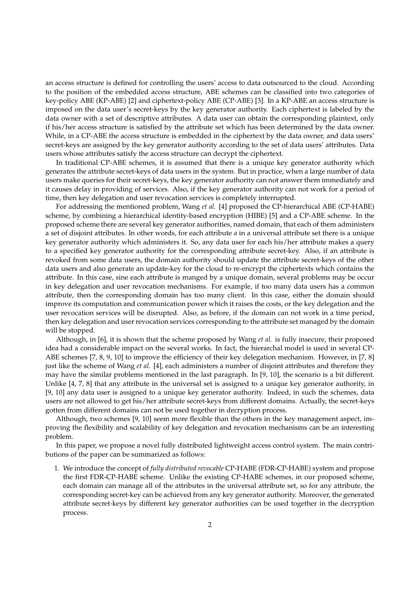an access structure is defined for controlling the users' access to data outsourced to the cloud. According to the position of the embedded access structure, ABE schemes can be classified into two categories of key-policy ABE (KP-ABE) [2] and ciphertext-policy ABE (CP-ABE) [3]. In a KP-ABE an access structure is imposed on the data user's secret-keys by the key generator authority. Each ciphertext is labeled by the data owner with a set of descriptive attributes. A data user can obtain the corresponding plaintext, only if his/her access structure is satisfied by the attribute set which has been determined by the data owner. While, in a CP-ABE the acc[es](#page-25-1)s structure is embedded in the ciphert[ex](#page-26-0)t by the data owner, and data users' secret-keys are assigned by the key generator authority according to the set of data users' attributes. Data users whose attributes satisfy the access structure can decrypt the ciphertext.

In traditional CP-ABE schemes, it is assumed that there is a unique key generator authority which generates the attribute secret-keys of data users in the system. But in practice, when a large number of data users make queries for their secret-keys, the key generator authority can not answer them immediately and it causes delay in providing of services. Also, if the key generator authority can not work for a period of time, then key delegation and user revocation services is completely interrupted.

For addressing the mentioned problem, Wang *et al.* [4] proposed the CP-hierarchical ABE (CP-HABE) scheme, by combining a hierarchical identity-based encryption (HIBE) [5] and a CP-ABE scheme. In the proposed scheme there are several key generator authorities, named domain, that each of them administers a set of disjoint attributes. In other words, for each attribute *a* in a universal attribute set there is a unique key generator authority which administers it. So, any d[at](#page-26-1)a user for each his/her attribute makes a query to a specified key generator authority for the corresponding attribute s[ec](#page-26-2)ret-key. Also, if an attribute is revoked from some data users, the domain authority should update the attribute secret-keys of the other data users and also generate an update-key for the cloud to re-encrypt the ciphertexts which contains the attribute. In this case, sine each attribute is manged by a unique domain, several problems may be occur in key delegation and user revocation mechanisms. For example, if too many data users has a common attribute, then the corresponding domain has too many client. In this case, either the domain should improve its computation and communication power which it raises the costs, or the key delegation and the user revocation services will be disrupted. Also, as before, if the domain can not work in a time period, then key delegation and user revocation services corresponding to the attribute set managed by the domain will be stopped.

Although, in [6], it is shown that the scheme proposed by Wang *et al.* is fully insecure, their proposed idea had a considerable impact on the several works. In fact, the hierarchal model is used in several CP-ABE schemes [7, 8, 9, 10] to improve the efficiency of their key delegation mechanism. However, in [7, 8] just like the scheme of Wang *et al.* [4], each administers a number of disjoint attributes and therefore they may have the si[mil](#page-26-3)ar problems mentioned in the last paragraph. In [9, 10], the scenario is a bit different. Unlike [4, 7, 8] that any attribute in the universal set is assigned to a unique key generator authority, in [9, 10] any dat[a](#page-26-4) [us](#page-26-5)[er](#page-26-6) [is a](#page-26-7)ssigned to a unique key generator authority. Indeed, in such the schemes, [d](#page-26-4)[ata](#page-26-5) users are not allowed to get his/he[r a](#page-26-1)ttribute secret-keys from different domains. Actually, the secret-keys gotten from different domains can not be used together in decryption [p](#page-26-6)r[oce](#page-26-7)ss.

Alth[ou](#page-26-1)[gh](#page-26-4)[,](#page-26-5) two schemes [9, 10] seem more flexible than the others in the key management aspect, im[pr](#page-26-6)[ovin](#page-26-7)g the flexibility and scalability of key delegation and revocation mechanisms can be an interesting problem.

In this paper, we propose a novel fully distributed lightweight access control system. The main contributions of the paper can be s[u](#page-26-6)[mm](#page-26-7)arized as follows:

1. We introduce the concept of *fully distributed revocable* CP-HABE (FDR-CP-HABE) system and propose the first FDR-CP-HABE scheme. Unlike the existing CP-HABE schemes, in our proposed scheme, each domain can manage all of the attributes in the universal attribute set, so for any attribute, the corresponding secret-key can be achieved from any key generator authority. Moreover, the generated attribute secret-keys by different key generator authorities can be used together in the decryption process.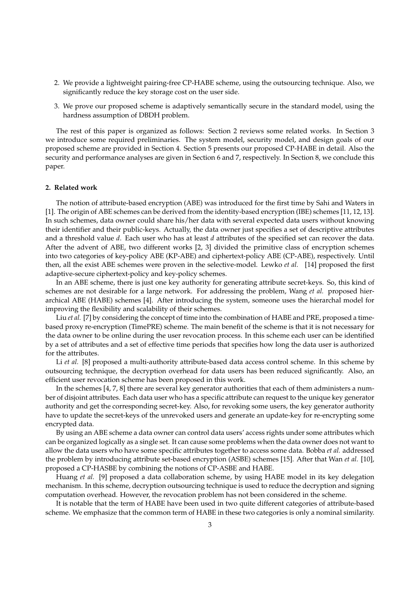- 2. We provide a lightweight pairing-free CP-HABE scheme, using the outsourcing technique. Also, we significantly reduce the key storage cost on the user side.
- 3. We prove our proposed scheme is adaptively semantically secure in the standard model, using the hardness assumption of DBDH problem.

The rest of this paper is organized as follows: Section 2 reviews some related works. In Section 3 we introduce some required preliminaries. The system model, security model, and design goals of our proposed scheme are provided in Section 4. Section 5 presents our proposed CP-HABE in detail. Also the security and performance analyses are given in Section 6 and 7, respectively. In Section 8, we conclude this paper.

# **2. Related work**

The notion of attribute-based encryption (ABE) was introduced for the first time by Sahi and Waters in [1]. The origin of ABE schemes can be derived from the identity-based encryption (IBE) schemes [11, 12, 13]. In such schemes, data owner could share his/her data with several expected data users without knowing their identifier and their public-keys. Actually, the data owner just specifies a set of descriptive attributes and a threshold value *d*. Each user who has at least *d* attributes of the specified set can recover the data. [Af](#page-25-0)ter the advent of ABE, two different works [2, 3] divided the primitive class of encryptio[n s](#page-26-8)[che](#page-26-9)[me](#page-26-10)s into two categories of key-policy ABE (KP-ABE) and ciphertext-policy ABE (CP-ABE), respectively. Until then, all the exist ABE schemes were proven in the selective-model. Lewko *et al.* [14] proposed the first adaptive-secure ciphertext-policy and key-policy schemes.

In an ABE scheme, there is just one key auth[or](#page-25-1)i[ty](#page-26-0) for generating attribute secret-keys. So, this kind of schemes are not desirable for a large network. For addressing the problem, Wang *et al.* proposed hierarchical ABE (HABE) schemes [4]. After introducing the system, someone uses th[e hi](#page-26-11)erarchal model for improving the flexibility and scalability of their schemes.

Liu *et al.* [7] by considering the concept of time into the combination of HABE and PRE, proposed a timebased proxy re-encryption (TimePRE) scheme. The main benefit of the scheme is that it is not necessary for the data owner to be online dur[in](#page-26-1)g the user revocation process. In this scheme each user can be identified by a set of attributes and a set of effective time periods that specifies how long the data user is authorized for the attrib[ut](#page-26-4)es.

Li *et al.* [8] proposed a multi-authority attribute-based data access control scheme. In this scheme by outsourcing technique, the decryption overhead for data users has been reduced significantly. Also, an efficient user revocation scheme has been proposed in this work.

In the schemes [4, 7, 8] there are several key generator authorities that each of them administers a number of disjoi[nt](#page-26-5) attributes. Each data user who has a specific attribute can request to the unique key generator authority and get the corresponding secret-key. Also, for revoking some users, the key generator authority have to update the secret-keys of the unrevoked users and generate an update-key for re-encrypting some encrypted data.

By using an ABE scheme a data owner can control data users' access rights under some attributes which can be organized logically as a single set. It can cause some problems when the data owner does not want to allow the data users who have some specific attributes together to access some data. Bobba *et al.* addressed the problem by introducing attribute set-based encryption (ASBE) schemes [15]. After that Wan *et al.* [10], proposed a CP-HASBE by combining the notions of CP-ASBE and HABE.

Huang *et al.* [9] proposed a data collaboration scheme, by using HABE model in its key delegation mechanism. In this scheme, decryption outsourcing technique is used to reduce the decryption and signing computation overhead. However, the revocation problem has not been consi[de](#page-26-12)red in the scheme.

It is notable that the term of HABE have been used in two quite different categories of attribute-based scheme. We emp[ha](#page-26-6)size that the common term of HABE in these two categories is only a nominal similarity.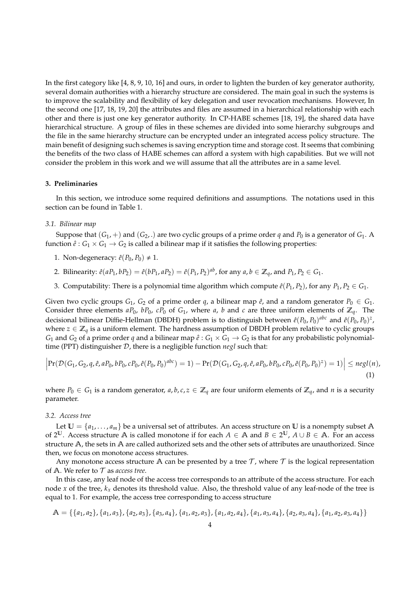In the first category like [4, 8, 9, 10, 16] and ours, in order to lighten the burden of key generator authority, several domain authorities with a hierarchy structure are considered. The main goal in such the systems is to improve the scalability and flexibility of key delegation and user revocation mechanisms. However, In the second one [17, 18, 19, 20] the attributes and files are assumed in a hierarchical relationship with each other and there is just o[ne](#page-26-1) [k](#page-26-5)[ey](#page-26-6) [ge](#page-26-7)[nera](#page-26-13)tor authority. In CP-HABE schemes [18, 19], the shared data have hierarchical structure. A group of files in these schemes are divided into some hierarchy subgroups and the file in the same hierarchy structure can be encrypted under an integrated access policy structure. The main benefit of [des](#page-26-14)i[gni](#page-26-15)[ng](#page-26-16) s[uc](#page-26-17)h schemes is saving encryption time and storage cost. It seems that combining the benefits of the two class of HABE schemes can afford a system with hig[h ca](#page-26-15)[pab](#page-26-16)ilities. But we will not consider the problem in this work and we will assume that all the attributes are in a same level.

## **3. Preliminaries**

In this section, we introduce some required definitions and assumptions. The notations used in this section can be found in Table 1.

# *3.1. Bilinear map*

Suppose that  $(G_1, +)$  and  $(G_2, .)$  are two cyclic groups of a prime order *q* and *P*<sub>0</sub> is a generator of  $G_1$ . A function  $\hat{e}$  :  $G_1 \times G_1 \rightarrow G_2$  is [ca](#page-4-0)lled a bilinear map if it satisfies the following properties:

- 1. Non-degeneracy:  $\hat{e}(P_0, P_0) \neq 1$ .
- 2. Bilinearity:  $\hat{e}(aP_1,bP_2) = \hat{e}(bP_1,aP_2) = \hat{e}(P_1,P_2)^{ab}$ , for any  $a,b \in \mathbb{Z}_q$ , and  $P_1,P_2 \in G_1$ .
- 3. Computability: There is a polynomial time algorithm which compute  $\hat{e}(P_1, P_2)$ , for any  $P_1, P_2 \in G_1$ .

Given two cyclic groups  $G_1$ ,  $G_2$  of a prime order  $q$ , a bilinear map  $\hat{e}$ , and a random generator  $P_0 \in G_1$ . Consider three elements  $aP_0$ ,  $bP_0$ ,  $cP_0$  of  $G_1$ , where  $a$ ,  $b$  and  $c$  are three uniform elements of  $\mathbb{Z}_q$ . The decisional bilinear Diffie-Hellman (DBDH) problem is to distinguish between  $\hat{e}(P_0, P_0)^{abc}$  and  $\hat{e}(P_0, P_0)^z$ , where  $z \in \mathbb{Z}_q$  is a uniform element. The hardness assumption of DBDH problem relative to cyclic groups *G*<sub>1</sub> and *G*<sub>2</sub> of a prime order *q* and a bilinear map  $\hat{e}: G_1 \times G_1 \to G_2$  is that for any probabilistic polynomialtime (PPT) distinguisher *D*, there is a negligible function *negl* such that:

$$
\left|\Pr(\mathcal{D}(G_1, G_2, q, \hat{e}, aP_0, bP_0, cP_0, \hat{e}(P_0, P_0)^{abc}) = 1) - \Pr(\mathcal{D}(G_1, G_2, q, \hat{e}, aP_0, bP_0, cP_0, \hat{e}(P_0, P_0)^z) = 1)\right| \leq negl(n),
$$
\n(1)

where  $P_0 \in G_1$  is a random generator,  $a, b, c, z \in \mathbb{Z}_q$  are four uniform elements of  $\mathbb{Z}_q$ , and  $n$  is a security parameter.

#### *3.2. Access tree*

Let  $\mathbb{U} = \{a_1, \ldots, a_m\}$  be a universal set of attributes. An access structure on  $\mathbb{U}$  is a nonempty subset A of 2 **<sup>U</sup>**. Access structure **A** is called monotone if for each *A ∈* **A** and *B ∈* 2 **<sup>U</sup>**, *A ∪ B ∈* **A**. For an access structure **A**, the sets in **A** are called authorized sets and the other sets of attributes are unauthorized. Since then, we focus on monotone access structures.

<span id="page-3-0"></span>Any monotone access structure A can be presented by a tree  $\mathcal T$ , where  $\mathcal T$  is the logical representation of **A**. We refer to *T* as *access tree*.

In this case, any leaf node of the access tree corresponds to an attribute of the access structure. For each node *x* of the tree, *kx* denotes its threshold value. Also, the threshold value of any leaf-node of the tree is equal to 1. For example, the access tree corresponding to access structure

$$
\mathbb{A} = \{\{a_1, a_2\}, \{a_1, a_3\}, \{a_2, a_3\}, \{a_3, a_4\}, \{a_1, a_2, a_3\}, \{a_1, a_2, a_4\}, \{a_1, a_3, a_4\}, \{a_2, a_3, a_4\}, \{a_1, a_2, a_3, a_4\}\}\
$$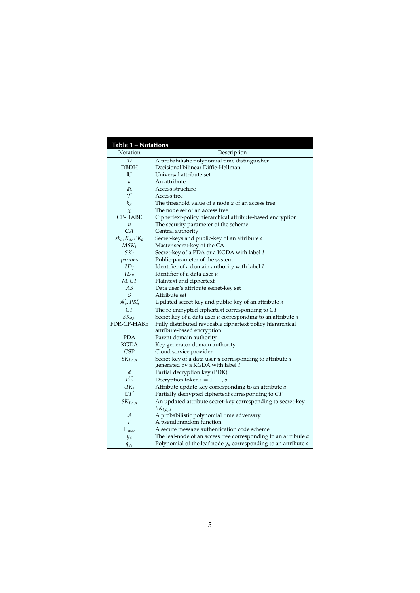# **Table 1 – Notations**

<span id="page-4-0"></span>

| Notation                 | Description                                                                 |
|--------------------------|-----------------------------------------------------------------------------|
| $\mathcal{D}$            | A probabilistic polynomial time distinguisher                               |
| <b>DBDH</b>              | Decisional bilinear Diffie-Hellman                                          |
| U                        | Universal attribute set                                                     |
| $\mathfrak a$            | An attribute                                                                |
| Α                        | Access structure                                                            |
| $\tau$                   | Access tree                                                                 |
| $k_{x}$                  | The threshold value of a node $x$ of an access tree                         |
| $\chi$                   | The node set of an access tree                                              |
| CP-HABE                  | Ciphertext-policy hierarchical attribute-based encryption                   |
| $\boldsymbol{n}$         | The security parameter of the scheme                                        |
| СA                       | Central authority                                                           |
| $sk_a$ , $K_a$ , $PK_a$  | Secret-keys and public-key of an attribute a                                |
| $MSK_1$                  | Master secret-key of the CA                                                 |
| $SK_I$                   | Secret-key of a PDA or a KGDA with label I                                  |
| params                   | Public-parameter of the system                                              |
| $ID_I$                   | Identifier of a domain authority with label I                               |
| $ID_u$                   | Identifier of a data user u                                                 |
| M,CT                     | Plaintext and ciphertext                                                    |
| AS                       | Data user's attribute secret-key set                                        |
| S                        | Attribute set                                                               |
| $sk'_a$ , $PK'_a$        | Updated secret-key and public-key of an attribute a                         |
| CT                       | The re-encrypted ciphertext corresponding to CT                             |
| $SK_{a,u}$               | Secret key of a data user u corresponding to an attribute a                 |
| FDR-CP-HABE              | Fully distributed revocable ciphertext policy hierarchical                  |
|                          | attribute-based encryption                                                  |
| <b>PDA</b>               | Parent domain authority                                                     |
| <b>KGDA</b>              | Key generator domain authority                                              |
| <b>CSP</b>               | Cloud service provider                                                      |
| $SK_{I,a,u}$             | Secret-key of a data user u corresponding to attribute a                    |
|                          | generated by a KGDA with label 1                                            |
| d                        | Partial decryption key (PDK)                                                |
| $T^{(i)}$                | Decryption token $i = 1, \ldots, 5$                                         |
| $UK_a$                   | Attribute update-key corresponding to an attribute a                        |
| CT'                      | Partially decrypted ciphertext corresponding to CT                          |
| $\widetilde{SK}_{I,a,u}$ | An updated attribute secret-key corresponding to secret-key<br>$SK_{I,a,u}$ |
| А                        | A probabilistic polynomial time adversary                                   |
| F                        | A pseudorandom function                                                     |
| $\Pi_{mac}$              | A secure message authentication code scheme                                 |
| $y_a$                    | The leaf-node of an access tree corresponding to an attribute a             |
| $q_{y_a}$                | Polynomial of the leaf node $y_a$ corresponding to an attribute $a$         |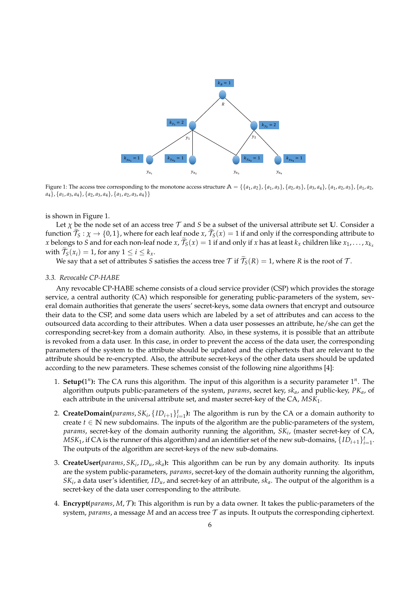<span id="page-5-0"></span>

Figure 1: The access tree corresponding to the monotone access structure  $A = \{\{a_1, a_2\}, \{a_1, a_3\}, \{a_2, a_3\}, \{a_3, a_4\}, \{a_1, a_2, a_3\}, \{a_1, a_2, a_3\}\}$ *a*4*}*, *{a*1, *a*3, *a*4*}*, *{a*2, *a*3, *a*4*}*, *{a*1, *a*2, *a*3, *a*4*}}*

is shown in Figure 1.

Let *χ* be the node set of an access tree *T* and *S* be a subset of the universal attribute set **U**. Consider a function  $\mathcal{T}_S: \chi \to \{0,1\}$ , where for each leaf node  $x$ ,  $\mathcal{T}_S(x) = 1$  if and only if the corresponding attribute to *x* belongs to *S* and for each non-leaf node *x*,  $\mathcal{T}_S(x) = 1$  if and only if *x* has at least  $k_x$  children like  $x_1, \ldots, x_{k_x}$ with  $\mathcal{T}_S(x_i) = 1$ , fo[r](#page-5-0) any  $1 \leq i \leq k_x$ .

We say that a set of attributes *S* satisfies the access tree  $\mathcal T$  if  $\mathcal T_S(R) = 1$ , where *R* is the root of  $\mathcal T$ .

# *3.3. Revocable CP-HABE*

<span id="page-5-1"></span>Any revocable CP-HABE scheme consists of a cloud service provider (CSP) which provides the storage service, a central authority (CA) which responsible for generating public-parameters of the system, several domain authorities that generate the users' secret-keys, some data owners that encrypt and outsource their data to the CSP, and some data users which are labeled by a set of attributes and can access to the outsourced data according to their attributes. When a data user possesses an attribute, he/she can get the corresponding secret-key from a domain authority. Also, in these systems, it is possible that an attribute is revoked from a data user. In this case, in order to prevent the access of the data user, the corresponding parameters of the system to the attribute should be updated and the ciphertexts that are relevant to the attribute should be re-encrypted. Also, the attribute secret-keys of the other data users should be updated according to the new parameters. These schemes consist of the following nine algorithms [4]:

- 1. **Setup**( $1<sup>n</sup>$ ): The CA runs this algorithm. The input of this algorithm is a security parameter  $1<sup>n</sup>$ . The algorithm outputs public-parameters of the system, *params*, secret key, *ska*, and public-key, *PKa*, of each attribute in the universal attribute set, and master secret-key of the CA, *MSK*1.
- 2. **CreateDomain**( $params, SK_i, \{ID_{i+1}\}_{i=1}^t$ ): The algorithm is run by the CA or a domain authority to create  $t \in \mathbb{N}$  new subdomains. The inputs of the algorithm are the public-parameters of the system, *params*, secret-key of the domain authority running the algorithm, *SK<sup>i</sup>* , (master secret-key of CA,  $MSK_1$ , if CA is the runner of this algorithm) and an identifier set of the new sub-domains,  $\{ID_{i+1}\}_{i=1}^t$ . The outputs of the algorithm are secret-keys of the new sub-domains.
- 3. **CreateUser(***params*, *SK<sup>i</sup>* , *IDu*,*ska***):** This algorithm can be run by any domain authority. Its inputs are the system public-parameters, *params*, secret-key of the domain authority running the algorithm, *SK<sup>i</sup>* , a data user's identifier, *IDu*, and secret-key of an attribute, *ska*. The output of the algorithm is a secret-key of the data user corresponding to the attribute.
- 4. **Encrypt(***params*, *M*, *T* **):** This algorithm is run by a data owner. It takes the public-parameters of the system, *params*, a message *M* and an access tree *T* as inputs. It outputs the corresponding ciphertext.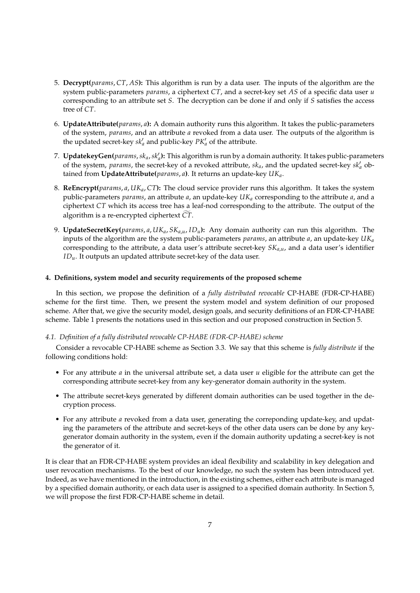- 5. **Decrypt(***params*, *CT*, *AS***):** This algorithm is run by a data user. The inputs of the algorithm are the system public-parameters *params*, a ciphertext *CT*, and a secret-key set *AS* of a specific data user *u* corresponding to an attribute set *S*. The decryption can be done if and only if *S* satisfies the access tree of *CT*.
- 6. **UpdateAttribute(***params*, *a***):** A domain authority runs this algorithm. It takes the public-parameters of the system, *params*, and an attribute *a* revoked from a data user. The outputs of the algorithm is the updated secret-key *sk′ <sup>a</sup>* and public-key *PK′ <sup>a</sup>* of the attribute.
- 7. **UpdatekeyGen(***params*,*ska*,*sk′ a* **):** This algorithm is run by a domain authority. It takes public-parameters of the system, *params*, the secret-key of a revoked attribute, *ska*, and the updated secret-key *sk′ <sup>a</sup>* obtained from **UpdateAttribute(***params*, *a***)**. It returns an update-key *UKa*.
- 8. **ReEncrypt(***params*, *a*, *UKa*, *CT***):** The cloud service provider runs this algorithm. It takes the system public-parameters *params*, an attribute *a*, an update-key *UKa* corresponding to the attribute *a*, and a ciphertext *CT* which its access tree has a leaf-nod corresponding to the attribute. The output of the algorithm is a re-encrypted ciphertext *CT*.
- 9. **UpdateSecretKey(***params*, *a*, *UKa*, *SKa*,*u*, *IDu***):** Any domain authority can run this algorithm. The inputs of the algorithm are the system public-parameters *params*, an attribute *a*, an update-key *UKa* corresponding to the attribute, a data user's attribute secret-key *SKa*,*u*, and a data user's identifier *IDu*. It outputs an updated attribute secret-key of the data user.

# **4. Definitions, system model and security requirements of the proposed scheme**

<span id="page-6-1"></span>In this section, we propose the definition of a *fully distributed revocable* CP-HABE (FDR-CP-HABE) scheme for the first time. Then, we present the system model and system definition of our proposed scheme. After that, we give the security model, design goals, and security definitions of an FDR-CP-HABE scheme. Table 1 presents the notations used in this section and our proposed construction in Section 5.

# *4.1. Definition of a fully distributed revocable CP-HABE (FDR-CP-HABE) scheme*

Consider a revocable CP-HABE scheme as Section 3.3. We say that this scheme is *fully distribute* [if](#page-11-0) the following con[di](#page-4-0)tions hold:

- <span id="page-6-0"></span>• For any attribute *a* in the universal attribute set, a data user *u* eligible for the attribute can get the corresponding attribute secret-key from any key-[gen](#page-5-1)erator domain authority in the system.
- The attribute secret-keys generated by different domain authorities can be used together in the decryption process.
- For any attribute *a* revoked from a data user, generating the correponding update-key, and updating the parameters of the attribute and secret-keys of the other data users can be done by any keygenerator domain authority in the system, even if the domain authority updating a secret-key is not the generator of it.

It is clear that an FDR-CP-HABE system provides an ideal flexibility and scalability in key delegation and user revocation mechanisms. To the best of our knowledge, no such the system has been introduced yet. Indeed, as we have mentioned in the introduction, in the existing schemes, either each attribute is managed by a specified domain authority, or each data user is assigned to a specified domain authority. In Section 5, we will propose the first FDR-CP-HABE scheme in detail.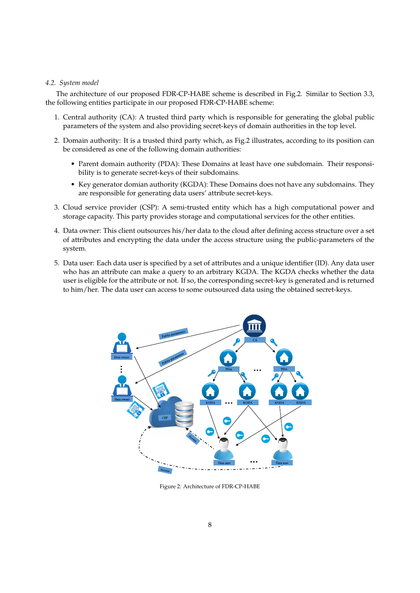# *4.2. System model*

The architecture of our proposed FDR-CP-HABE scheme is described in Fig.2. Similar to Section 3.3, the following entities participate in our proposed FDR-CP-HABE scheme:

- 1. Central authority (CA): A trusted third party which is responsible for generating the global public parameters of the system and also providing secret-keys of domain authori[tie](#page-7-0)s in the top level.
- 2. Domain authority: It is a trusted third party which, as Fig.2 illustrates, according to its position can be considered as one of the following domain authorities:
	- Parent domain authority (PDA): These Domains at least have one subdomain. Their responsibility is to generate secret-keys of their subdomains.
	- Key generator domian authority (KGDA): These Domains does not have any subdomains. They are responsible for generating data users' attribute secret-keys.
- 3. Cloud service provider (CSP): A semi-trusted entity which has a high computational power and storage capacity. This party provides storage and computational services for the other entities.
- 4. Data owner: This client outsources his/her data to the cloud after defining access structure over a set of attributes and encrypting the data under the access structure using the public-parameters of the system.
- 5. Data user: Each data user is specified by a set of attributes and a unique identifier (ID). Any data user who has an attribute can make a query to an arbitrary KGDA. The KGDA checks whether the data user is eligible for the attribute or not. If so, the corresponding secret-key is generated and is returned to him/her. The data user can access to some outsourced data using the obtained secret-keys.

<span id="page-7-0"></span>

Figure 2: Architecture of FDR-CP-HABE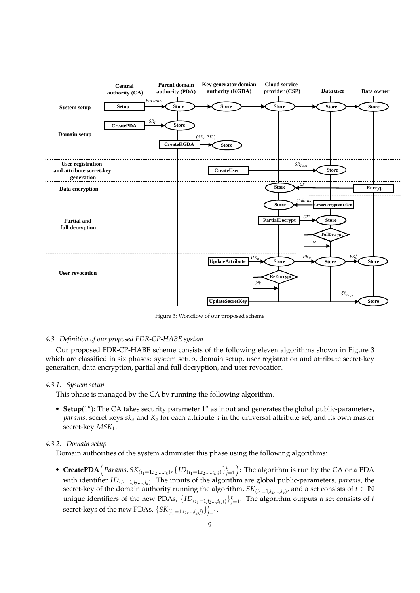

Figure 3: Workflow of our proposed scheme

# *4.3. Definition of our proposed FDR-CP-HABE system*

Our proposed FDR-CP-HABE scheme consists of the following eleven algorithms shown in Figure 3 which are classified in six phases: system setup, domain setup, user registration and attribute secret-key generation, data encryption, partial and full decryption, and user revocation.

# *4.3.1. System setup*

This phase is managed by the CA by running the following algorithm.

• Setup(1<sup>n</sup>): The CA takes security parameter 1<sup>n</sup> as input and generates the global public-parameters, *params*, secret keys *ska* and *Ka* for each attribute *a* in the universal attribute set, and its own master secret-key *MSK*<sub>1</sub>.

# *4.3.2. Domain setup*

Domain authorities of the system administer this phase using the following algorithms:

• **CreatePDA** $\left($  *Params*, *SK*<sub>(*i*<sub>1</sub>=1,*i*<sub>2</sub>,...,*i*<sub>*k*</sub>)</sub>,  $\{ID_{(i_1=1,i_2,...,i_k,j)}\}_{j=1}^t$ ) : The algorithm is run by the CA or a PDA with identifier  $ID_{(i_1=1,i_2,...,i_k)}$ . The inputs of the algorithm are global public-parameters, *params*, the secret-key of the domain authority running the algorithm*, SK*<sub>(*i*1=1,*i*<sub>2</sub>,...,*i*<sub>k</sub>)</sub>, and a set consists of *t*  $\in$  N unique identifiers of the new PDAs,  $\{ID_{(i_1=1,i_2...,i_k,j)}\}_{j=1}^t$ . The algorithm outputs a set consists of *t* secret-keys of the new PDAs,  $\{SK_{(i_1=1,i_2,...,i_k,j)}\}_{j=1}^t$ .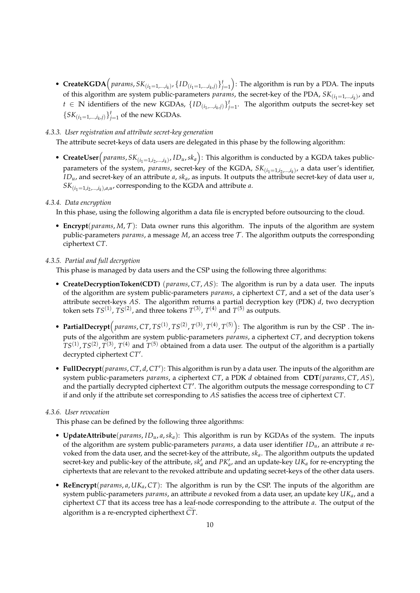• **CreateKGDA** $\left($  params,  $SK_{(i_1=1,...,i_k)}$ ,  $\{ID_{(i_1=1,...,i_k,j)}\}_{j=1}^t$ ) : The algorithm is run by a PDA. The inputs of this algorithm are system public-parameters  $\emph{params}$ , the secret-key of the PDA,  $\emph{SK}_{(i_1=1,...,i_k)}$ , and *t* ∈ **N** identifiers of the new KGDAs,  $\{ID_{(i_1,...,i_k,j)}\}_{j=1}^t$ . The algorithm outputs the secret-key set  $\{SK_{(i_1=1,\ldots,i_k,j)}\}_{j=1}^t$  of the new KGDAs.

# *4.3.3. User registration and attribute secret-key generation*

The attribute secret-keys of data users are delegated in this phase by the following algorithm:

• **CreateUser**( $params, SK_{(i_1=1,i_2,...,i_k)}$ ,  $ID_u, sk_a$ ): This algorithm is conducted by a KGDA takes publicparameters of the system, *params*, secret-key of the KGDA,  $SK_{(i_1=1,i_2,...,i_k)}$ , a data user's identifier, *IDu*, and secret-key of an attribute *a*, *ska*, as inputs. It outputs the attribute secret-key of data user *u*,  $\delta K_{(i_1=1,i_2,...,i_k),a,u}$ , corresponding to the KGDA and attribute *a*.

# *4.3.4. Data encryption*

In this phase, using the following algorithm a data file is encrypted before outsourcing to the cloud.

• **Encrypt**(*params*, *M*, *T* ): Data owner runs this algorithm. The inputs of the algorithm are system public-parameters *params*, a message *M*, an access tree *T* . The algorithm outputs the corresponding ciphertext *CT*.

# *4.3.5. Partial and full decryption*

This phase is managed by data users and the CSP using the following three algorithms:

- **CreateDecryptionToken(CDT)** (*params*, *CT*, *AS*): The algorithm is run by a data user. The inputs of the algorithm are system public-parameters *params*, a ciphertext *CT*, and a set of the data user's attribute secret-keys *AS*. The algorithm returns a partial decryption key (PDK) *d*, two decryption token sets  $TS^{(1)}$ ,  $TS^{(2)}$ , and three tokens  $T^{(3)}$ ,  $T^{(4)}$  and  $T^{(5)}$  as outputs.
- **PartialDecrypt**( $params$ ,  $CT$ ,  $TS^{(1)}$ ,  $TS^{(2)}$ ,  $T^{(3)}$ ,  $T^{(4)}$ ,  $T^{(5)}$ ): The algorithm is run by the CSP. The inputs of the algorithm are system public-parameters *params*, a ciphertext *CT*, and decryption tokens  $TS^{(1)}$ ,  $TS^{(2)}$ ,  $T^{(3)}$ ,  $T^{(4)}$  and  $T^{(5)}$  obtained from a data user. The output of the algorithm is a partially decrypted ciphertext *CT′* .
- **FullDecrypt**(*params*, *CT*, *d*, *CT′* ): This algorithm is run by a data user. The inputs of the algorithm are system public-parameters *params*, a ciphertext *CT*, a PDK *d* obtained from **CDT**(*params*, *CT*, *AS*), and the partially decrypted ciphertext *CT′* . The algorithm outputs the message corresponding to *CT* if and only if the attribute set corresponding to *AS* satisfies the access tree of ciphertext *CT*.

# *4.3.6. User revocation*

This phase can be defined by the following three algorithms:

- **UpdateAttribute**(*params*, *IDu*, *a*,*ska*): This algorithm is run by KGDAs of the system. The inputs of the algorithm are system public-parameters *params*, a data user identifier *IDu*, an attribute *a* revoked from the data user, and the secret-key of the attribute, *ska*. The algorithm outputs the updated secret-key and public-key of the attribute,  $s k'_a$  and  $PK'_a$ , and an update-key  $UK_a$  for re-encrypting the ciphertexts that are relevant to the revoked attribute and updating secret-keys of the other data users.
- **ReEncrypt**(*params*, *a*, *UKa*, *CT*): The algorithm is run by the CSP. The inputs of the algorithm are system public-parameters *params*, an attribute *a* revoked from a data user, an update key *UKa*, and a ciphertext *CT* that its access tree has a leaf-node corresponding to the attribute *a*. The output of the algorithm is a re-encrypted cipherthext *CT*.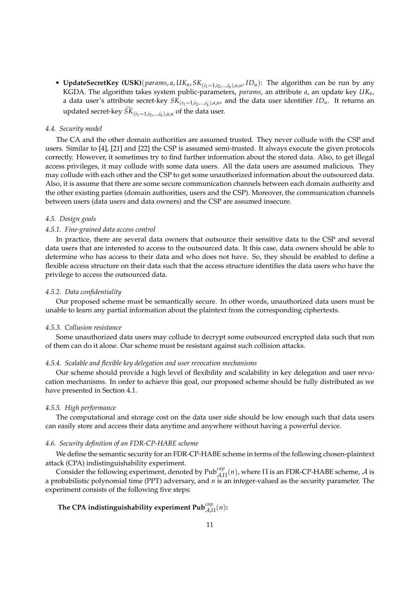• **UpdateSecretKey (USK)**( $params, a, UK_a, SK_{(i_1=1,i_2,...,i_k),a,u}$ ,  $ID_u$ ): The algorithm can be run by any KGDA. The algorithm takes system public-parameters, *params*, an attribute *a*, an update key *UKa*, a data user's attribute secret-key  $SK_{(i_1=1,i_2,...,i_k),a,u}$ , and the data user identifier  $ID_u$ . It returns an  $u$ pdated secret-key  $\mathit{SK}_{(i_1=1,i_2,...,i_k),a,u}$  of the data user.

## *4.4. Security model*

The CA and the other domain authorities are assumed trusted. They never collude with the CSP and users. Similar to [4], [21] and [22] the CSP is assumed semi-trusted. It always execute the given protocols correctly. However, it sometimes try to find further information about the stored data. Also, to get illegal access privileges, it may collude with some data users. All the data users are assumed malicious. They may collude with each other and the CSP to get some unauthorized information about the outsourced data. Also, it is assume [th](#page-26-1)a[t th](#page-26-18)ere ar[e so](#page-26-19)me secure communication channels between each domain authority and the other existing parties (domain authorities, users and the CSP). Moreover, the communication channels between users (data users and data owners) and the CSP are assumed insecure.

#### *4.5. Design goals*

#### *4.5.1. Fine-grained data access control*

In practice, there are several data owners that outsource their sensitive data to the CSP and several data users that are interested to access to the outsourced data. It this case, data owners should be able to determine who has access to their data and who does not have. So, they should be enabled to define a flexible access structure on their data such that the access structure identifies the data users who have the privilege to access the outsourced data.

#### *4.5.2. Data confidentiality*

Our proposed scheme must be semantically secure. In other words, unauthorized data users must be unable to learn any partial information about the plaintext from the corresponding ciphertexts.

# *4.5.3. Collusion resistance*

Some unauthorized data users may collude to decrypt some outsourced encrypted data such that non of them can do it alone. Our scheme must be resistant against such collision attacks.

#### *4.5.4. Scalable and flexible key delegation and user revocation mechanisms*

Our scheme should provide a high level of flexibility and scalability in key delegation and user revocation mechanisms. In order to achieve this goal, our proposed scheme should be fully distributed as we have presented in Section 4.1.

#### *4.5.5. High performance*

The computational and storage cost on the data user side should be low enough such that data users can easily store and acces[s the](#page-6-0)ir data anytime and anywhere without having a powerful device.

## <span id="page-10-0"></span>*4.6. Security definition of an FDR-CP-HABE scheme*

We define the semantic security for an FDR-CP-HABE scheme in terms of the following chosen-plaintext attack (CPA) indistinguishability experiment.

<span id="page-10-1"></span>Consider the following experiment, denoted by  $Pub_{A,\Pi}^{cap}(n)$ , where  $\Pi$  is an FDR-CP-HABE scheme,  $A$  is a probabilistic polynomial time (PPT) adversary, and *n* is an integer-valued as the security parameter. The experiment consists of the following five steps:

# The CPA indistinguishability experiment  $\text{Pub}_{\mathcal{A},\Pi}^{cap}(n)$ :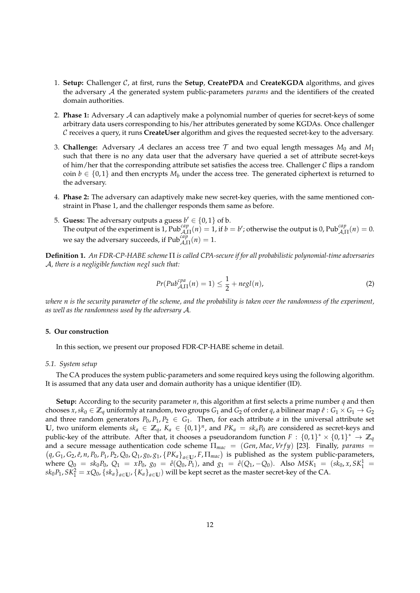- 1. **Setup:** Challenger *C*, at first, runs the **Setup**, **CreatePDA** and **CreateKGDA** algorithms, and gives the adversary *A* the generated system public-parameters *params* and the identifiers of the created domain authorities.
- 2. **Phase 1:** Adversary *A* can adaptively make a polynomial number of queries for secret-keys of some arbitrary data users corresponding to his/her attributes generated by some KGDAs. Once challenger *C* receives a query, it runs **CreateUser** algorithm and gives the requested secret-key to the adversary.
- 3. **Challenge:** Adversary A declares an access tree  $\mathcal{T}$  and two equal length messages  $M_0$  and  $M_1$ such that there is no any data user that the adversary have queried a set of attribute secret-keys of him/her that the corresponding attribute set satisfies the access tree. Challenger *C* flips a random coin  $b \in \{0,1\}$  and then encrypts  $M_b$  under the access tree. The generated ciphertext is returned to the adversary.
- 4. **Phase 2:** The adversary can adaptively make new secret-key queries, with the same mentioned constraint in Phase 1, and the challenger responds them same as before.
- 5. **Guess:** The adversary outputs a guess  $b' \in \{0, 1\}$  of b. The output of the experiment is 1,  $Pub_{\mathcal{A},\Pi}^{cap}(n) = 1$ , if  $b = b'$ ; otherwise the output is 0,  $Pub_{\mathcal{A},\Pi}^{cap}(n) = 0$ . we say the adversary succeeds, if  $Pub_{\mathcal{A},\Pi}^{\text{caip}}(n) = 1$ .

**Definition 1.** *An FDR-CP-HABE scheme* Π *is called CPA-secure if for all probabilistic polynomial-time adversaries A, there is a negligible function negl such that:*

$$
Pr(Pub_{\mathcal{A},\Pi}^{cpa}(n) = 1) \le \frac{1}{2} + negl(n),\tag{2}
$$

*where n is the security parameter of the scheme, and the probability is taken over the randomness of the experiment, as well as the randomness used by the adversary A.*

## **5. Our construction**

In this section, we present our proposed FDR-CP-HABE scheme in detail.

#### <span id="page-11-0"></span>*5.1. System setup*

The CA produces the system public-parameters and some required keys using the following algorithm. It is assumed that any data user and domain authority has a unique identifier (ID).

**Setup:** According to the security parameter *n*, this algorithm at first selects a prime number *q* and then chooses  $x$ ,  $sk_0 \in \mathbb{Z}_q$  uniformly at random, two groups  $G_1$  and  $G_2$  of order  $q$ , a bilinear map  $\hat{e}: G_1 \times G_1 \to G_2$ and three random generators  $P_0, P_1, P_2 \in G_1$ . Then, for each attribute *a* in the universal attribute set **U**, two uniform elements  $sk_a$  ∈  $\mathbb{Z}_q$ ,  $K_a$  ∈  $\{0,1\}$ <sup>n</sup>, and  $PK_a = sk_aP_0$  are considered as secret-keys and public-key of the attribute. After that, it chooses a pseudorandom function  $F: \{0,1\}^* \times \{0,1\}^* \to \mathbb{Z}_q$ and a secure message authentication code scheme  $\Pi_{mac} = (Gen, Mac, Vrfy)$  [23]. Finally, params =  $(q, G_1, G_2, \hat{e}, n, P_0, P_1, P_2, Q_0, Q_1, g_0, g_1, \{PK_a\}_{a \in U}, F, \Pi_{mac})$  is published as the system public-parameters, where  $Q_0 = sk_0 P_0$ ,  $Q_1 = x P_0$ ,  $g_0 = \hat{e}(Q_0, P_1)$ , and  $g_1 = \hat{e}(Q_1, -Q_0)$ . Also  $MSK_1 = (sk_0, x, SK_1^1 =$  $sk_0P_1, SK_1^2 = xQ_0, \{sk_a\}_{a \in U}$ ,  $\{K_a\}_{a \in U}$ ) will be kept secret as the master secret-key of the CA.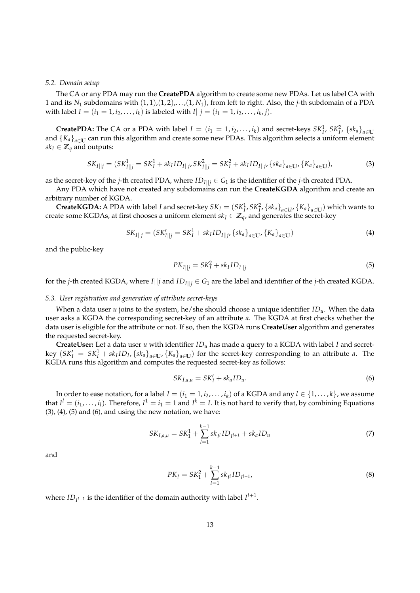#### *5.2. Domain setup*

The CA or any PDA may run the **CreatePDA** algorithm to create some new PDAs. Let us label CA with 1 and its  $N_1$  subdomains with  $(1, 1)$ , $(1, 2)$ ,..., $(1, N_1)$ , from left to right. Also, the *j*-th subdomain of a PDA with label *I* =  $(i_1 = 1, i_2, ..., i_k)$  is labeled with *I*|| $j = (i_1 = 1, i_2, ..., i_k, j)$ .

**CreatePDA:** The CA or a PDA with label  $I = (i_1 = 1, i_2, ..., i_k)$  and secret-keys  $SK_1^1$ ,  $SK_1^2$ ,  $\{sk_a\}_{a \in \mathbb{U}}$ and  ${K_a}_{a \in \mathbf{U}}$  can run this algorithm and create some new PDAs. This algorithm selects a uniform element  $sk_I$  ∈  $\mathbb{Z}_q$  and outputs:

$$
SK_{I||j} = (SK_{I||j}^1 = SK_I^1 + sk_IID_{I||j}, SK_{I||j}^2 = SK_I^2 + sk_IID_{I||j}, \{sk_a\}_{a \in U}, \{K_a\}_{a \in U}),
$$
\n(3)

as the secret-key of the *j*-th created PDA, where  $ID_{I|I} \in G_1$  is the identifier of the *j*-th created PDA.

Any PDA which have not created any subdomains can run the **CreateKGDA** algorithm and create an arbitrary number of KGDA.

**CreateKGDA:** A PDA with label *I* and secret-key  $SK_I = (SK_I^1, SK_I^2, \{sk_a\}_{a \in U}, \{K_a\}_{a \in U})$  which wants to create some KGDAs, at first chooses a uniform element  $sk_I \in \mathbb{Z}_q$ , and generates the secret-key

$$
SK_{I||j} = (SK'_{I||j} = SK_I^1 + sk_IID_{I||j}, \{sk_a\}_{a \in \mathbb{U}}, \{K_a\}_{a \in \mathbb{U}})
$$
\n(4)

and the public-key

$$
PK_{I||j} = SK_I^2 + sk_IID_{I||j}
$$
\n(5)

for the *j*-th created KGDA, where *I*||*j* and *ID*<sub>*I*||*j*</sub>  $\in$  *G*<sub>1</sub> are the label and identifier of the *j*-th created KGDA.

#### *5.3. User registration and generation of attribute secret-keys*

When a data user *u* joins to the system, he/she should choose a unique identifier  $ID_u$ . When the data user asks a KGDA the corresponding secret-key of an attribute *a*. The KGDA at first checks whether the data user is eligible for the attribute or not. If so, then the KGDA runs **CreateUser** algorithm and generates the requested secret-key.

**CreateUser:** Let a data user *u* with identifier *ID<sup>u</sup>* has made a query to a KGDA with label *I* and secretkey  $(SK'_I = SK^1_I + sk_IID_I, \{sk_a\}_{a \in U}, \{K_a\}_{a \in U})$  for the secret-key corresponding to an attribute a. The KGDA runs this algorithm and computes the requested secret-key as follows:

$$
SK_{I,a,u} = SK'_I + sk_aID_u.
$$
\n<sup>(6)</sup>

In order to ease notation, for a label  $I=(i_1=1,i_2,\ldots,i_k)$  of a KGDA and any  $l\in\{1,\ldots,k\}$ , we assume that  $I^l = (i_1, \ldots, i_l)$ . Therefore,  $I^1 = i_1 = 1$  and  $I^k = I$ . It is not hard to verify that, by combining Equations  $(3)$ ,  $(4)$ ,  $(5)$  and  $(6)$ , and using the new notation, we have:

$$
SK_{I,a,u} = SK_1^1 + \sum_{l=1}^{k-1} sk_{I^l}ID_{I^{l+1}} + sk_aID_u
$$
\n(7)

and

<span id="page-12-1"></span><span id="page-12-0"></span>
$$
PK_I = SK_1^2 + \sum_{l=1}^{k-1} sk_{I^l}ID_{I^{l+1}},
$$
\n(8)

where  $ID_{I^{l+1}}$  is the identifier of the domain authority with label  $I^{l+1}$ .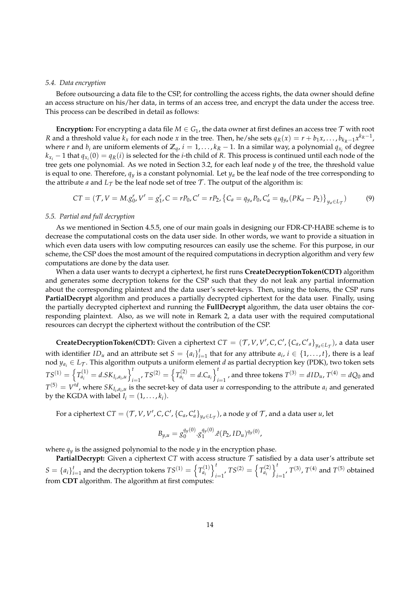#### *5.4. Data encryption*

Before outsourcing a data file to the CSP, for controlling the access rights, the data owner should define an access structure on his/her data, in terms of an access tree, and encrypt the data under the access tree. This process can be described in detail as follows:

**Encryption:** For encrypting a data file  $M \in G_1$ , the data owner at first defines an access tree  $\mathcal T$  with root R and a threshold value  $k_x$  for each node x in the tree. Then, he/she sets  $q_R(x) = r + b_1x, \ldots, b_{k_R-1}x^{k_R-1}$ , where *r* and  $b_i$  are uniform elements of  $\mathbb{Z}_q$ ,  $i = 1, \ldots, k_R - 1$ . In a similar way, a polynomial  $q_{x_i}$  of degree  $k_{x_i}$  − 1 that  $q_{x_i}(0) = q_R(i)$  is selected for the *i*-th child of *R*. This process is continued until each node of the tree gets one polynomial. As we noted in Section 3.2, for each leaf node *y* of the tree, the threshold value is equal to one. Therefore,  $q_y$  is a constant polynomial. Let  $y_a$  be the leaf node of the tree corresponding to the attribute *a* and  $L<sub>T</sub>$  be the leaf node set of tree  $T$ . The output of the algorithm is:

$$
CT = (\mathcal{T}, V = M, g_0^r, V' = g_1^r, C = rP_0, C' = rP_2, \{C_a = q_{y_a}P_0, C'_a = q_{y_a}(PK_a - P_2)\}_{y_a \in L_{\mathcal{T}}})
$$
(9)

#### *5.5. Partial and full decryption*

As we mentioned in Section 4.5.5, one of our main goals in designing our FDR-CP-HABE scheme is to decrease the computational costs on the data user side. In other words, we want to provide a situation in which even data users with low computing resources can easily use the scheme. For this purpose, in our scheme, the CSP does the most amount of the required computations in decryption algorithm and very few computations are done by the d[ata us](#page-10-0)er.

When a data user wants to decrypt a ciphertext, he first runs **CreateDecryptionToken(CDT)** algorithm and generates some decryption tokens for the CSP such that they do not leak any partial information about the corresponding plaintext and the data user's secret-keys. Then, using the tokens, the CSP runs **PartialDecrypt** algorithm and produces a partially decrypted ciphertext for the data user. Finally, using the partially decrypted ciphertext and running the **FullDecrypt** algorithm, the data user obtains the corresponding plaintext. Also, as we will note in Remark 2, a data user with the required computational resources can decrypt the ciphertext without the contribution of the CSP.

**CreateDecryptionToken(CDT):** Given a ciphertext  $CT = (\mathcal{T}, V, V', C, C', \{C_a, C'_a\}_{y_a \in L_{\mathcal{T}}})$ , a data user with identifier  $ID_u$  and an attribute set  $S = {a_i}_{i=1}^t$  that [fo](#page-14-0)r any attribute  $a_i, i \in \{1, ..., t\}$ , there is a leaf nod  $y_{a_i} \in L_T$ . This algorithm outputs a uniform element *d* as partial decryption key (PDK), two token sets  $TS^{(1)} = \left\{ T_{a_i}^{(1)} = d.SK_{I_i, a_i, u} \right\}_{i=1}^{t}$  $\sum_{i=1}^{t}$ ,  $TS^{(2)} = \left\{ T_{a_i}^{(2)} = d.C_{a_i} \right\}_{i}^{t}$  $I_{i=1}^{I}$ , and three tokens  $T^{(3)} = dID_{u}$ ,  $T^{(4)} = dQ_{0}$  and  $T^{(5)} = V'^d$ , where  $SK_{I_i, a_i, u}$  is the secret-key of data user *u* corresponding to the attribute  $a_i$  and generated by the KGDA with label  $I_i = (1, \ldots, k_i)$ .

For a ciphertext  $CT=(\mathcal{T},V,V',C,C',{\{C_a,C'_a\}}_{y_a\in L_{\mathcal{T}}})$ , a node  $y$  of  $\mathcal{T}$ , and a data user  $u$ , let

$$
B_{y,u} = g_0^{q_y(0)} \cdot g_1^{q_y(0)} \cdot \hat{e}(P_2, ID_u)^{q_y(0)},
$$

where  $q_y$  is the assigned polynomial to the node *y* in the encryption phase.

**PartialDecrypt:** Given a ciphertext  $CT$  with access structure  $T$  satisfied by a data user's attribute set  $S = \{a_i\}_{i=1}^t$  and the decryption tokens  $TS^{(1)} = \left\{T_{a_i}^{(1)}\right\}$ }*t*  $T_{i=1}^{t}$ ,  $TS^{(2)} = \left\{ T_{a_i}^{(2)} \right\}$ }*t*  $T_{i=1}^{r}$ ,  $T^{(3)}$ ,  $T^{(4)}$  and  $T^{(5)}$  obtained from **CDT** algorithm. The algorithm at first computes: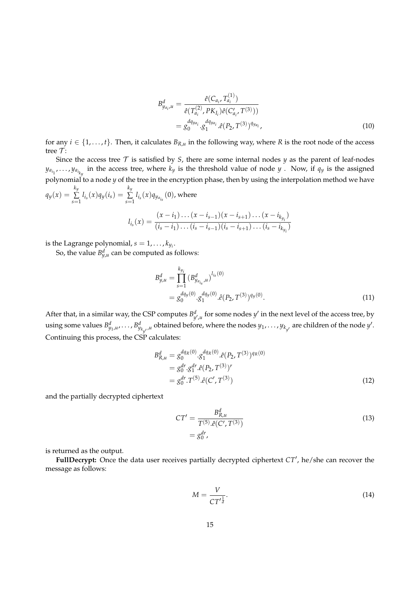$$
B_{y_{a_i},u}^d = \frac{\hat{e}(C_{a_i}, T_{a_i}^{(1)})}{\hat{e}(T_{a_i}^{(2)}, PK_{I_i})\hat{e}(C_{a_i}', T^{(3)}))}
$$
  
=  $g_0^{dq_{y_{a_i}}} \cdot g_1^{dq_{y_{a_i}}} \cdot \hat{e}(P_2, T^{(3)})^{q_{y_{a_i}}},$  (10)

for any  $i \in \{1, ..., t\}$ . Then, it calculates  $B_{R,u}$  in the following way, where *R* is the root node of the access tree *T* :

Since the access tree  $T$  is satisfied by  $S$ , there are some internal nodes  $y$  as the parent of leaf-nodes  $y_{a_{i_1}}, \ldots, y_{a_{i_{k_y}}}$  in the access tree, where  $k_y$  is the threshold value of node  $y$  . Now, if  $q_y$  is the assigned polynomial to a node *y* of the tree in the encryption phase, then by using the interpolation method we have  $q_y(x) =$ *ky*  $\sum_{s=1}^{n} l_{i_s}(x) q_{y}(i_s) =$ *ky*  $\sum_{s=1}^{n} l_{i_s}(x) q_{y_{a_{i_s}}}(0)$ , where

$$
l_{i_s}(x) = \frac{(x-i_1)\dots(x-i_{s-1})(x-i_{s+1})\dots(x-i_{k_{y_i}})}{(i_s-i_1)\dots(i_s-i_{s-1})(i_s-i_{s+1})\dots(i_s-i_{k_{y_i}})}
$$

is the Lagrange polynomial,  $s = 1, \ldots, k_{y_i}$ .

So, the value  $B_{y,u}^d$  can be computed as follows:

<span id="page-14-1"></span>
$$
B_{y,u}^d = \prod_{s=1}^{k_{y_i}} (B_{y_{a_{is}},u}^d)^{l_{is}(0)}
$$
  
=  $g_0^{dq_y(0)} \cdot g_1^{dq_y(0)} \cdot \hat{e}(P_2, T^{(3)})^{q_y(0)}$ . (11)

After that, in a similar way, the CSP computes  $B_{y',u}^d$  for some nodes  $y'$  in the next level of the access tree, by using some values  $B_{y_1,\mu}^d,\ldots,B_{y_{k_{y'}}^d,\mu}^d$  obtained before, where the nodes  $y_1,\ldots,y_{k_{y'}}$  are children of the node  $y'.$ Continuing this process, the CSP calculates:

$$
B_{R,u}^d = g_0^{dq_R(0)} \cdot g_1^{dq_R(0)} \cdot \hat{e}(P_2, T^{(3)})^{q_R(0)}
$$
  
=  $g_0^{dr} \cdot g_1^{dr} \cdot \hat{e}(P_2, T^{(3)})^r$   
=  $g_0^{dr} \cdot T^{(5)} \cdot \hat{e}(C', T^{(3)})$  (12)

and the partially decrypted ciphertext

$$
CT' = \frac{B_{R,u}^d}{T^{(5)}.\hat{e}(C',T^{(3)})}
$$
  
=  $g_0^{dr}$ , (13)

is returned as the output.

<span id="page-14-0"></span>**FullDecrypt:** Once the data user receives partially decrypted ciphertext *CT′* , he/she can recover the message as follows:

$$
M = \frac{V}{CT'^{\frac{1}{d}}}.\tag{14}
$$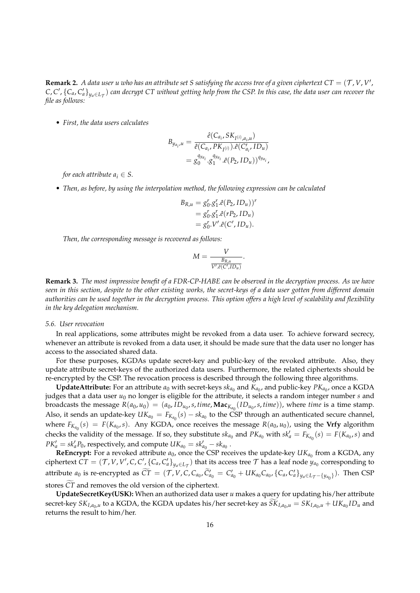**Remark 2.** A data user *u who has an attribute set S* satisfying the access tree of a given ciphertext  $CT = (T, V, V', V')$  $(C,C',\{C_a,C'_a\}_{y_a\in L_\mathcal{T}})$  can decrypt CT without getting help from the CSP. In this case, the data user can recover the *file as follows:*

*• First, the data users calculates*

$$
B_{y_{a_i},u} = \frac{\hat{e}(C_{a_i}, SK_{I^{(i)},a_i,u})}{\hat{e}(C_{a_i}, PK_{I^{(i)}}).\hat{e}(C'_{a_i}, ID_u)}
$$
  
=  $g_0^{q_{ya_i}} \cdot g_1^{q_{ya_i}}.\hat{e}(P_2, ID_u))^{q_{ya_i}}$ ,

*for each attribute*  $a_i \in S$ .

*• Then, as before, by using the interpolation method, the following expression can be calculated*

$$
B_{R,u} = g_0^r \cdot g_1^r \cdot \hat{e}(P_2, ID_u))^r
$$
  
=  $g_0^r \cdot g_1^r \cdot \hat{e}(rP_2, ID_u)$   
=  $g_0^r \cdot V' \cdot \hat{e}(C', ID_u)$ .

*Then, the corresponding message is recovered as follows:*

$$
M = \frac{V}{\frac{B_{R,u}}{V'.\hat{e}(C',ID_u)}}
$$

.

**Remark 3.** *The most impressive benefit of a FDR-CP-HABE can be observed in the decryption process. As we have seen in this section, despite to the other existing works, the secret-keys of a data user gotten from different domain authorities can be used together in the decryption process. This option offers a high level of scalability and flexibility in the key delegation mechanism.*

# *5.6. User revocation*

In real applications, some attributes might be revoked from a data user. To achieve forward secrecy, whenever an attribute is revoked from a data user, it should be made sure that the data user no longer has access to the associated shared data.

For these purposes, KGDAs update secret-key and public-key of the revoked attribute. Also, they update attribute secret-keys of the authorized data users. Furthermore, the related ciphertexts should be re-encrypted by the CSP. The revocation process is described through the following three algorithms.

**UpdateAttribute:** For an attribute  $a_0$  with secret-keys  $sk_{a_0}$  and  $K_{a_0}$ , and public-key  $PK_{a_0}$ , once a KGDA judges that a data user  $u_0$  no longer is eligible for the attribute, it selects a random integer number *s* and broadcasts the message  $R(a_0, u_0) = (a_0, ID_{u_0}, s, time, \mathbf{Mac}_{K_{a_0}}(ID_{u_0}, s, time))$ , where *time* is a time stamp. Also, it sends an update-key  $UK_{a_0} = F_{K_{a_0}}(s) - sk_{a_0}$  to the CSP through an authenticated secure channel, where  $F_{K_{a_0}}(s) = F(K_{a_0}, s)$ . Any KGDA, once receives the message  $R(a_0, u_0)$ , using the **Vrfy** algorithm checks the validity of the message. If so, they substitute  $sk_{a_0}$  and  $PK_{a_0}$  with  $sk'_a = F_{K_{a_0}}(s) = F(K_{a_0}, s)$  and  $PK'_{a} = sk'_{a}P_{0}$ , respectively, and compute  $UK_{a_0} = sk'_{a_0} - sk_{a_0}$ .

**ReEncrypt:** For a revoked attribute  $a_0$ , once the CSP receives the update-key  $\mathit{UK}_{a_0}$  from a KGDA, any ciphertext  $CT=(\mathcal{T},V,V',C,C',\{C_a,C_a'\}_{y_a\in L_{\mathcal{T}}})$  that its access tree  $\mathcal T$  has a leaf node  $y_{a_0}$  corresponding to attribute  $a_0$  is re-encrypted as  $\widetilde{CT} = (\mathcal{T}, V, C, C_{a_0}, \widetilde{C}_{a_0}' = C_{a_0}' + UK_{a_0}C_{a_0}, \{C_a, C_a'\}_{y_a \in L_{\mathcal{T}} - \{y_{a_0}\}})$ . Then CSP stores  $\widetilde{CT}$  and removes the old version of the ciphertext.

**UpdateSecretKey(USK):** When an authorized data user *u* makes a query for updating his/her attribute  $s$  secret-key  $SK_{I,a_0,u}$  to a KGDA, the KGDA updates his/her secret-key as  $SK_{I,a_0,u} = SK_{I,a_0,u} + UK_{a_0}ID_u$  and returns the result to him/her.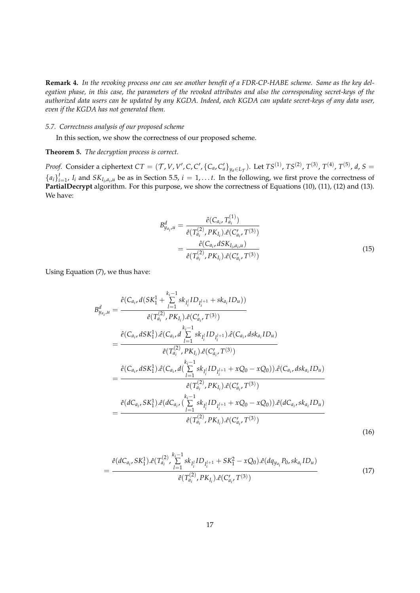**Remark 4.** *In the revoking process one can see another benefit of a FDR-CP-HABE scheme. Same as the key delegation phase, in this case, the parameters of the revoked attributes and also the corresponding secret-keys of the authorized data users can be updated by any KGDA. Indeed, each KGDA can update secret-keys of any data user, even if the KGDA has not generated them.*

# *5.7. Correctness analysis of our proposed scheme*

In this section, we show the correctness of our proposed scheme.

**Theorem 5.** *The decryption process is correct.*

*Proof.* Consider a ciphertext  $CT = (\mathcal{T}, V, V', C, C', \{C_a, C_a'\}_{y_a \in L_{\mathcal{T}}})$ . Let  $TS^{(1)}$ ,  $TS^{(2)}$ ,  $T^{(3)}$ ,  $T^{(4)}$ ,  $T^{(5)}$ ,  $d$ ,  $S =$  ${a_i}_{i=1}^t$ ,  $I_i$  and  $SK_{I_i, a_i, u}$  be as in Section 5.5,  $i = 1, \ldots t$ . In the following, we first prove the correctness of **PartialDecrypt** algorithm. For this purpose, we show the correctness of Equations (10), (11), (12) and (13). We have:

$$
B_{y_{a_i},u}^d = \frac{\hat{e}(C_{a_i}, T_{a_i}^{(1)})}{\hat{e}(T_{a_i}^{(2)}, PK_{I_i}).\hat{e}(C_{a_i}', T^{(3)})}
$$
  
= 
$$
\frac{\hat{e}(C_{a_i}, dSK_{I_i, a_i,u})}{\hat{e}(T_{a_i}^{(2)}, PK_{I_i}).\hat{e}(C_{a_i}', T^{(3)})}
$$
(15)

Using Equation (7), we thus have:

$$
B_{y_{a_i},u}^d = \frac{\hat{e}(C_{a_i}, d(SK_1^1 + \sum_{l=1}^{k_i-1} sk_{I_i^l}ID_{I_i^{l+1}} + sk_{a_i}ID_u))}{\hat{e}(T_{a_i}^{(2)}, PK_{I_i}).\hat{e}(C_{a_i}, T^{(3)})}
$$
  
\n
$$
= \frac{\hat{e}(C_{a_i}, dSK_1^1).\hat{e}(C_{a_i}, d \sum_{l=1}^{k_i-1} sk_{I_i^l}ID_{I_i^{l+1}}).\hat{e}(C_{a_i}, dsk_{a_i}ID_u)}{\hat{e}(T_{a_i}^{(2)}, PK_{I_i}).\hat{e}(C_{a_i}', T^{(3)})}
$$
  
\n
$$
= \frac{\hat{e}(C_{a_i}, dSK_1^1).\hat{e}(C_{a_i}, d(\sum_{l=1}^{k_i-1} sk_{I_i^l}ID_{I_i^{l+1}} + xQ_0 - xQ_0)).\hat{e}(C_{a_i}, dsk_{a_i}ID_u)}{\hat{e}(T_{a_i}^{(2)}, PK_{I_i}).\hat{e}(C_{a_i}', T^{(3)})}
$$
  
\n
$$
= \frac{\hat{e}(dC_{a_i}, SK_1^1).\hat{e}(dC_{a_i}, (\sum_{l=1}^{k_i-1} sk_{I_i^l}ID_{I_i^{l+1}} + xQ_0 - xQ_0)).\hat{e}(dC_{a_i}, sk_{a_i}ID_u)}{\hat{e}(T_{a_i}^{(2)}, PK_{I_i}).\hat{e}(C_{a_i}', T^{(3)})}
$$
  
\n
$$
= \frac{\hat{e}(dC_{a_i}, SK_1^1).\hat{e}(dC_{a_i}, (\sum_{l=1}^{k_i-1} sk_{I_i^l}ID_{I_i^{l+1}} + xQ_0 - xQ_0)).\hat{e}(dC_{a_i}, sk_{a_i}ID_u)}{\hat{e}(T_{a_i}^{(2)}, PK_{I_i}).\hat{e}(C_{a_i}', T^{(3)})}
$$
(16)

$$
= \frac{\hat{e}(dC_{a_{i}}, SK_{1}^{1}).\hat{e}(T_{a_{i}}^{(2)}, \sum_{l=1}^{k_{i}-1} sk_{I_{i}^{l}}ID_{I_{i}^{l+1}} + SK_{1}^{2} - xQ_{0}).\hat{e}(dq_{y_{a_{i}}}P_{0}, sk_{a_{i}}ID_{u})}{\hat{e}(T_{a_{i}}^{(2)}, PK_{I_{i}}).\hat{e}(C'_{a_{i}}, T^{(3)})}
$$
(17)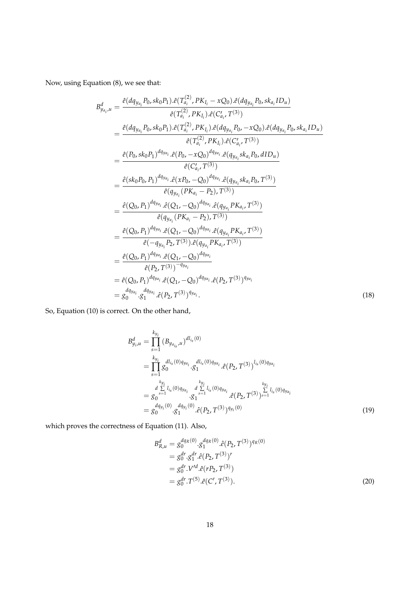Now, using Equation (8), we see that:

$$
B_{y_{a_i},u}^d = \frac{\hat{e}(dq_{y_{a_i}}P_0, sk_0P_1).\hat{e}(T_{a_i}^{(2)}, PK_{I_i} - xQ_0).\hat{e}(dq_{y_{a_i}}P_0, sk_{a_i}ID_u)}{\hat{e}(T_{a_i}^{(2)}, PK_{I_i}).\hat{e}(C_{a_i}', T^{(3)})}
$$
\n
$$
= \frac{\hat{e}(dq_{y_{a_i}}P_0, sk_0P_1).\hat{e}(T_{a_i}^{(2)}, PK_{I_i}).\hat{e}(dq_{y_{a_i}}P_0, -xQ_0).\hat{e}(dq_{y_{a_i}}P_0, sk_{a_i}ID_u)}{\hat{e}(T_{a_i}^{(2)}, PK_{I_i}).\hat{e}(C_{a_i}', T^{(3)})}
$$
\n
$$
= \frac{\hat{e}(P_0, sk_0P_1)^{dq_{y_{a_i}}}\hat{e}(P_0, -xQ_0)^{dq_{y_{a_i}}}\hat{e}(q_{y_{a_i}}sk_{a_i}P_0, dID_u)}{\hat{e}(C_{a_i}', T^{(3)})}
$$
\n
$$
= \frac{\hat{e}(sk_0P_0, P_1)^{dq_{y_{a_i}}}\hat{e}(xP_0, -Q_0)^{dq_{y_{a_i}}}\hat{e}(q_{y_{a_i}}sk_{a_i}P_0, T^{(3)})}{\hat{e}(q_{y_{a_i}}(PK_{a_i} - P_2), T^{(3)})}
$$
\n
$$
= \frac{\hat{e}(Q_0, P_1)^{dq_{y_{a_i}}}\hat{e}(Q_1, -Q_0)^{dq_{y_{a_i}}}\hat{e}(q_{y_{a_i}}PK_{a_i}, T^{(3)})}{\hat{e}(-q_{y_{a_i}}P_2, T^{(3)}).\hat{e}(q_{y_{a_i}}PK_{a_i}, T^{(3)})}
$$
\n
$$
= \frac{\hat{e}(Q_0, P_1)^{dq_{y_{a_i}}}\hat{e}(Q_1, -Q_0)^{dq_{y_{a_i}}}\hat{e}(q_{y_{a_i}}PK_{a_i}, T^{(3)})}{\hat{e}(P_2, T^{(3)})^{-q_{y_{a_i}}}}
$$
\n
$$
= \hat{e}(Q_0, P_1)^{dq_{y_{a_i}}}\hat{e}(Q_1, -Q_0)^{dq_{y_{a_i}}}
$$
\n
$$
= \hat{e
$$

So, Equation (10) is correct. On the other hand,

$$
B_{y_i,u}^d = \prod_{s=1}^{k_{y_i}} (B_{y_{a_{i_s}},u})^{d l_{i_s}(0)}
$$
  
\n
$$
= \prod_{s=1}^{k_{y_i}} g_0^{d l_{i_s}(0) q_{y_{a_i}}} \cdot g_1^{d l_{i_s}(0) q_{y_{a_i}}} \cdot \hat{e}(P_2, T^{(3)})^{l_{i_s}(0) q_{y_{a_i}}}
$$
  
\n
$$
= \frac{k_{y_i}}{q} \sum_{s=1}^{k_{y_i}} l_{i_s}(0) q_{y_{a_i}} \cdot \frac{k_{y_i}}{q} l_{i_s}(0) q_{y_{a_i}} \cdot \hat{e}(P_2, T^{(3)}) \sum_{s=1}^{k_{y_i}} l_{i_s}(0) q_{y_{a_i}}
$$
  
\n
$$
= g_0^{d q_{y_i}(0)} \cdot g_1^{d q_{y_i}(0)} \cdot \hat{e}(P_2, T^{(3)})^{q_{y_i}(0)}
$$
  
\n(19)

which proves the correctness of Equation (11). Also,

$$
B_{R,u}^d = g_0^{dq_R(0)} \cdot g_1^{dq_R(0)} \cdot \hat{e}(P_2, T^{(3)})^{q_R(0)}
$$
  
=  $g_0^{dr} \cdot g_1^{dr} \cdot \hat{e}(P_2, T^{(3)})^r$   
=  $g_0^{dr} \cdot V^{rd} \cdot \hat{e}(rP_2, T^{(3)})$   
=  $g_0^{dr} \cdot T^{(5)} \cdot \hat{e}(C', T^{(3)})$ . (20)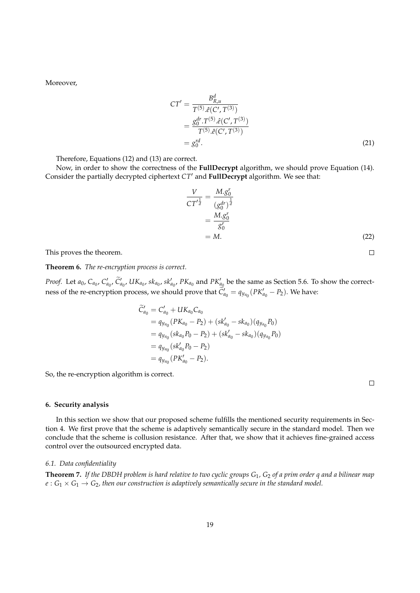Moreover,

$$
CT' = \frac{B_{R,u}^d}{T^{(5)}.\hat{e}(C',T^{(3)})}
$$
  
= 
$$
\frac{g_0^{dr} \cdot T^{(5)}.\hat{e}(C',T^{(3)})}{T^{(5)}.\hat{e}(C',T^{(3)})}
$$
  
= 
$$
g_0^{rd}.
$$
 (21)

Therefore, Equations (12) and (13) are correct.

Now, in order to show the correctness of the **FullDecrypt** algorithm, we should prove Equation (14). Consider the partially decrypted ciphertext *CT′* and **FullDecrypt** algorithm. We see that:

$$
\frac{V}{CT^{\prime \frac{1}{d}}} = \frac{M \cdot g_0^r}{(g_0^{dr})^{\frac{1}{d}}}
$$

$$
= \frac{M \cdot g_0^r}{g_0^r}
$$

$$
= M.
$$
 (22)

This proves the theorem.

**Theorem 6.** *The re-encryption process is correct.*

*Proof.* Let  $a_0$ ,  $C_{a_0}$ ,  $C'_{a_0}$ ,  $\widetilde{C}'_{a_0}$ ,  $UK_{a_0}$ ,  $sk_{a_0}$ ,  $sk'_{a_0}$ ,  $PK_{a_0}$  and  $PK'_{a_0}$  be the same as Section 5.6. To show the correctness of the re-encryption process, we should prove that  $\widetilde{C}'_{a_0} = q_{y_{a_0}}(PK'_{a_0} - P_2)$ . We have:

$$
\begin{aligned}\n\widetilde{C}'_{a_0} &= C'_{a_0} + UK_{a_0}C_{a_0} \\
&= q_{y_{a_0}}(PK_{a_0} - P_2) + (sk'_{a_0} - sk_{a_0})(q_{y_{a_0}}P_0) \\
&= q_{y_{a_0}}(sk_{a_0}P_0 - P_2) + (sk'_{a_0} - sk_{a_0})(q_{y_{a_0}}P_0) \\
&= q_{y_{a_0}}(sk'_{a_0}P_0 - P_2) \\
&= q_{y_{a_0}}(PK'_{a_0} - P_2).\n\end{aligned}
$$

So, the re-encryption algorithm is correct.

 $\Box$ 

 $\Box$ 

## **6. Security analysis**

In this section we show that our proposed scheme fulfills the mentioned security requirements in Section 4. We first prove that the scheme is adaptively semantically secure in the standard model. Then we conclude that the scheme is collusion resistance. After that, we show that it achieves fine-grained access control over the outsourced encrypted data.

#### *6.1. [D](#page-6-1)ata confidentiality*

**Theorem 7.** *If the DBDH problem is hard relative to two cyclic groups G*1*, G*<sup>2</sup> *of a prim order q and a bilinear map*  $e: G_1 \times G_1 \rightarrow G_2$ , then our construction is adaptively semantically secure in the standard model.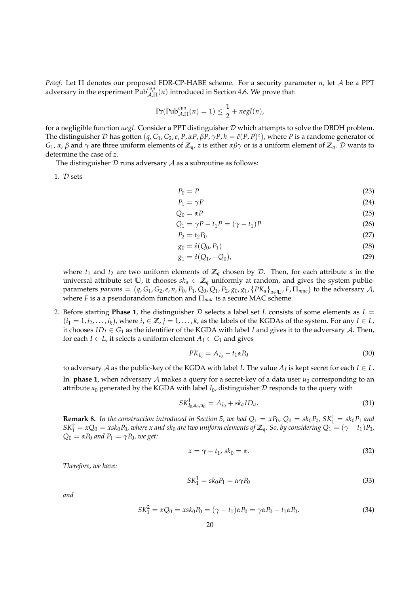*Proof.* Let Π denotes our proposed FDR-CP-HABE scheme. For a security parameter *n*, let *A* be a PPT adversary in the experiment  $Pub_{\mathcal{A},\Pi}^{cap}(n)$  introduced in Section 4.6. We prove that:

$$
\Pr(\mathrm{Pub}_{\mathcal{A},\Pi}^{cpa}(n)=1)\leq \frac{1}{2}+negl(n),
$$

for a negligible function *negl*. Consider a PPT distinguisher *D* [wh](#page-10-1)ich attempts to solve the DBDH problem. The distinguisher D has gotten  $(q, G_1, G_2, e, P, \alpha P, \beta P, \gamma P, h = \hat{e}(P, P)^z)$ , where P is a randome generator of *G*<sub>1</sub>, *α*, *β* and  $\gamma$  are three uniform elements of  $\mathbb{Z}_q$ , *z* is either *αβ* $\gamma$  or is a uniform element of  $\mathbb{Z}_q$ . *D* wants to determine the case of *z*.

The distinguisher *D* runs adversary *A* as a subroutine as follows:

1. *D* sets

$$
P_0 = P \tag{23}
$$

$$
P_1 = \gamma P \tag{24}
$$

$$
Q_0 = \alpha P \tag{25}
$$

$$
Q_1 = \gamma P - t_1 P = (\gamma - t_1)P
$$
\n<sup>(26)</sup>

$$
P_2 = t_2 P_0 \tag{27}
$$

$$
g_0 = \hat{e}(Q_0, P_1) \tag{28}
$$

$$
g_1 = \hat{e}(Q_1, -Q_0),\tag{29}
$$

where  $t_1$  and  $t_2$  are two uniform elements of  $\mathbb{Z}_q$  chosen by  $\mathcal{D}$ . Then, for each attribute  $a$  in the universal attribute set  $\mathbb{U}$ , it chooses  $sk_a \in \mathbb{Z}_q$  uniformly at random, and gives the system publicparameters params =  $(q, G_1, G_2, e, n, P_0, P_1, Q_0, Q_1, P_2, g_0, g_1, \{PK_a\}_{a \in U}, F, \Pi_{mac})$  to the adversary  $A$ , where *F* is a a pseudorandom function and Π*mac* is a secure MAC scheme.

2. Before starting **Phase 1**, the distinguisher  $D$  selects a label set L consists of some elements as  $I =$  $(i_1 = 1, i_2, \ldots, i_k)$ , where  $i_j \in \mathbb{Z}$ ,  $j = 1, \ldots, k$ , as the labels of the KGDAs of the system. For any  $I \in L$ , it chooses  $ID_I \in G_1$  as the identifier of the KGDA with label *I* and gives it to the adversary *A*. Then, for each *I*  $\in$  *L*, it selects a uniform element  $A_I \in G_1$  and gives

$$
PK_{I_0} = A_{I_0} - t_1 \alpha P_0 \tag{30}
$$

to adversary  ${\cal A}$  as the public-key of the KGDA with label *I*. The value  $A_I$  is kept secret for each  $I\in L$ . In **phase 1**, when adversary  $A$  makes a query for a secret-key of a data user  $u_0$  corresponding to an attribute  $a_0$  generated by the KGDA with label  $I_0$ , distinguisher  $D$  responds to the query with

$$
SK_{I_0, a_0, u_0}^1 = A_{I_0} + sk_a I D_u.
$$
\n(31)

**Remark 8.** In the construction introduced in Section 5, we had  $Q_1 = xP_0$ ,  $Q_0 = sk_0P_0$ ,  $SK_1^1 = sk_0P_1$  and  $SK_1^2=xQ_0=xsk_0P_0$ , where x and sk $_0$  are two uniform elements of  $\mathbb{Z}_q$ . So, by considering  $Q_1=(\gamma-t_1)P_0$ ,  $Q_0 = \alpha P_0$  *and*  $P_1 = \gamma P_0$ *, we get:* 

$$
x = \gamma - t_1, sk_0 = \alpha. \tag{32}
$$

*Therefore, we have:*

<span id="page-19-1"></span><span id="page-19-0"></span>
$$
SK_1^1 = sk_0 P_1 = \alpha \gamma P_0 \tag{33}
$$

*and*

$$
SK_1^2 = xQ_0 = xsk_0P_0 = (\gamma - t_1)\alpha P_0 = \gamma \alpha P_0 - t_1 \alpha P_0.
$$
\n(34)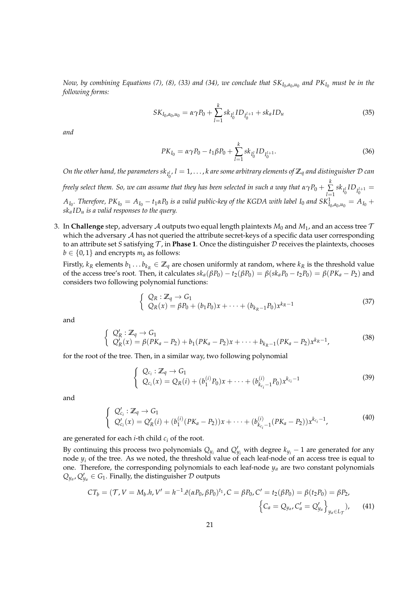*Now, by combining Equations (7), (8), (33) and (34), we conclude that SKI*0,*a*0,*u*<sup>0</sup> *and PKI*<sup>0</sup> *must be in the following forms:*

$$
SK_{I_0, a_0, u_0} = \alpha \gamma P_0 + \sum_{l=1}^{k} sk_{I_0^l} ID_{I_0^{l+1}} + sk_a ID_u
$$
\n(35)

*and*

$$
PK_{I_0} = \alpha \gamma P_0 - t_1 \beta P_0 + \sum_{l=1}^{k} s k_{I_0^l} ID_{I_0^{l+1}}.
$$
\n(36)

On the other hand, the parameters  $\mathrm{sk}_{I_0^l}$ ,  $l=1,\ldots,k$  are some arbitrary elements of  $\mathbb{Z}_q$  and distinguisher  $\mathcal D$  can

*freely select them. So, we can assume that they has been selected in such a way that*  $\alpha \gamma P_0 + \sum\limits_{k=1}^k \gamma_k$  $\sum_{l=1} S k_{I_0^l} ID_{I_0^{l+1}} =$  $A_{I_0}$ . Therefore,  $PK_{I_0} = A_{I_0} - t_1 \alpha P_0$  is a valid public-key of the KGDA with label  $I_0$  and  $SK_{I_0,a_0,u_0}^1 = A_{I_0} + t_1 \alpha P_0$ *ska IDu is a valid responses to the query.*

3. In **Challenge** step, adversary A outputs two equal length plaintexts  $M_0$  and  $M_1$ , and an access tree  $\mathcal T$ which the adversary *A* has not queried the attribute secret-keys of a specific data user corresponding to an attribute set *S* satisfying *T* , in **Phase 1**. Once the distinguisher *D* receives the plaintexts, chooses  $b \in \{0, 1\}$  and encrypts  $m_b$  as follows:

Firstly,  $k_R$  elements  $b_1 \dots b_{k_R} \in \mathbb{Z}_q$  are chosen uniformly at random, where  $k_R$  is the threshold value of the access tree's root. Then, it calculates  $sk_a(\beta P_0) - t_2(\beta P_0) = \beta (sk_a P_0 - t_2 P_0) = \beta (PK_a - P_2)$  and considers two following polynomial functions:

$$
\begin{cases} Q_R: \mathbb{Z}_q \to G_1 \\ Q_R(x) = \beta P_0 + (b_1 P_0)x + \dots + (b_{k_R - 1} P_0)x^{k_R - 1} \end{cases}
$$
\n(37)

and

$$
\begin{cases}\nQ'_R: \mathbb{Z}_q \to G_1 \\
Q'_R(x) = \beta(PK_a - P_2) + b_1(PK_a - P_2)x + \dots + b_{k_R - 1}(PK_a - P_2)x^{k_R - 1},\n\end{cases}
$$
\n(38)

for the root of the tree. Then, in a similar way, two following polynomial

$$
\begin{cases}\nQ_{c_i}: \mathbb{Z}_q \to G_1 \\
Q_{c_i}(x) = Q_R(i) + (b_1^{(i)}P_0)x + \cdots + (b_{k_{c_i}-1}^{(i)}P_0)x^{k_{c_i}-1}\n\end{cases}
$$
\n(39)

and

$$
\begin{cases}\nQ'_{c_i} : \mathbb{Z}_q \to G_1 \\
Q'_{c_i}(x) = Q'_R(i) + (b_1^{(i)}(PK_a - P_2))x + \cdots + (b_{k_{c_i}-1}^{(i)}(PK_a - P_2))x^{k_{c_i}-1},\n\end{cases}
$$
\n(40)

are generated for each *i*-th child *c<sup>i</sup>* of the root.

By continuing this process two polynomials  $Q_{y_i}$  and  $Q'_{y_i}$  with degree  $k_{y_i}$  – 1 are generated for any node *y<sup>i</sup>* of the tree. As we noted, the threshold value of each leaf-node of an access tree is equal to one. Therefore, the corresponding polynomials to each leaf-node *ya* are two constant polynomials  $Q_{y_a}, Q'_{y_a} \in G_1$ . Finally, the distinguisher  $D$  outputs

<span id="page-20-0"></span>
$$
CT_b = (T, V = M_b.h, V' = h^{-1}.\hat{e}(\alpha P_0, \beta P_0)^{t_1}, C = \beta P_0, C' = t_2(\beta P_0) = \beta(t_2 P_0) = \beta P_2,
$$
  

$$
\left\{C_a = Q_{y_a}, C'_a = Q'_{y_a}\right\}_{y_a \in L_{\mathcal{T}}}),
$$
 (41)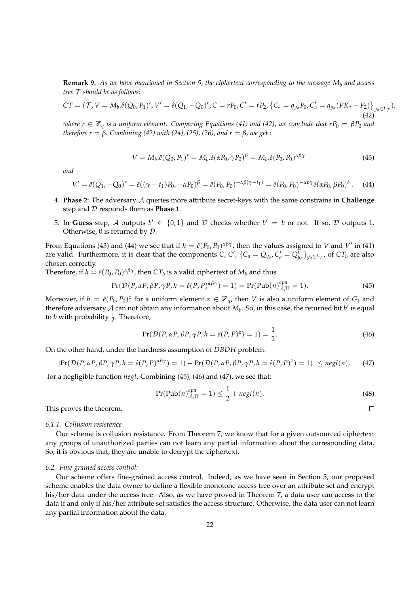**Remark 9.** *As we have mentioned in Section 5, the ciphertext corresponding to the message M<sup>b</sup> and access tree T should be as follows:*

$$
CT = (\mathcal{T}, V = M_b.\hat{e}(Q_0, P_1)^r, V' = \hat{e}(Q_1, -Q_0)^r, C = rP_0, C' = rP_2, \{C_a = q_{y_a}P_0, C'_a = q_{y_a}(PK_a - P_2)\}_{y_a \in L_{\mathcal{T}}},
$$
\n(42)

 $\alpha$  *vehere*  $r \in \mathbb{Z}_q$  *is a uniform element. Comparing Equations (41) and (42), we conclude that*  $rP_0 = \beta P_0$  *and therefore*  $r = \beta$ . Combining (42) with (24), (25), (26), and  $r = \beta$ , we get :

<span id="page-21-0"></span>
$$
V = M_b.\hat{e}(Q_0, P_1)^r = M_b.\hat{e}(\alpha P_0, \gamma P_0)^{\beta} = M_b.\hat{e}(P_0, P_0)^{\alpha \beta \gamma}
$$
\n(43)

*and*

$$
V' = \hat{e}(Q_1, -Q_0)^r = \hat{e}((\gamma - t_1)P_0, -\alpha P_0)^{\beta} = \hat{e}(P_0, P_0)^{-\alpha\beta(\gamma - t_1)} = \hat{e}(P_0, P_0)^{-\alpha\beta\gamma}\hat{e}(\alpha P_0, \beta P_0)^{t_1}.
$$
 (44)

- 4. **Phase 2:** The adversary *A* queries more attribute secret-keys with the same constrains in **Challenge** step and *D* responds them as **Phase 1**.
- 5. In Guess step, A outputs  $b' \in \{0,1\}$  and D checks whether  $b' = b$  or not. If so, D outputs 1. Otherwise, 0 is returned by *D*.

From Equations (43) and (44) we see that if  $h = \hat{e}(P_0, P_0)^{\alpha\beta\gamma}$ , then the values assigned to *V* and *V'* in (41) are valid. Furthermore, it is clear that the components C, C', { $C_a = Q_{y_a}$ ,  $C'_a = Q'_{y_a}$ } $_{y_a \in L_{\mathcal{T}}}$ , of  $CT_b$  are also chosen correctly.

Therefore, if  $h = \hat{e}(P_0, P_0)^{\alpha \beta \gamma}$ , then  $CT_b$  is a valid ciphertext of  $M_b$  and thus

$$
Pr(\mathcal{D}(P, \alpha P, \beta P, \gamma P, h = \hat{e}(P, P)^{\alpha \beta \gamma}) = 1) = Pr(Pub(n)_{\mathcal{A}, \Pi}^{cpa} = 1).
$$
\n(45)

Moreover, if  $h = \hat{e}(P_0, P_0)^z$  for a uniform element  $z \in \mathbb{Z}_q$ , then *V* is also a uniform element of  $G_1$  and therefore adversary  $\cal A$  can not obtain any information about  $M_b$ . So, in this case, the returned bit  $b'$  is equal to *b* with probability  $\frac{1}{2}$ . Therefore,

$$
Pr(\mathcal{D}(P, \alpha P, \beta P, \gamma P, h = \hat{e}(P, P)^{z}) = 1) = \frac{1}{2}.
$$
\n(46)

On the other hand, under the hardness assumption of *DBDH* problem:

$$
|\Pr(\mathcal{D}(P,\alpha P,\beta P,\gamma P,h=\hat{e}(P,P)^{\alpha\beta\gamma})=1)-\Pr(\mathcal{D}(P,\alpha P,\beta P,\gamma P,h=\hat{e}(P,P)^{z})=1)|\leq negl(n),\qquad(47)
$$

for a negligible function *negl*. Combining (45), (46) and (47), we see that:

$$
Pr(Pub(n)_{\mathcal{A},\Pi}^{cpn} = 1) \le \frac{1}{2} + negl(n).
$$
\n(48)

<span id="page-21-1"></span> $\Box$ 

This proves the theorem.

#### *6.1.1. Collusion resistance*

Our scheme is collusion resistance. From Theorem 7, we know that for a given outsourced ciphertext any groups of unauthorized parties can not learn any partial information about the corresponding data. So, it is obvious that, they are unable to decrypt the ciphertext.

#### *6.2. Fine-grained access control:*

Our scheme offers fine-grained access control. Indeed, as we have seen in Section 5, our proposed scheme enables the data owner to define a flexible monotone access tree over an attribute set and encrypt his/her data under the access tree. Also, as we have proved in Theorem 7, a data user can access to the data if and only if his/her attribute set satisfies the access structure. Otherwise, the data user can not learn any partial information about the data.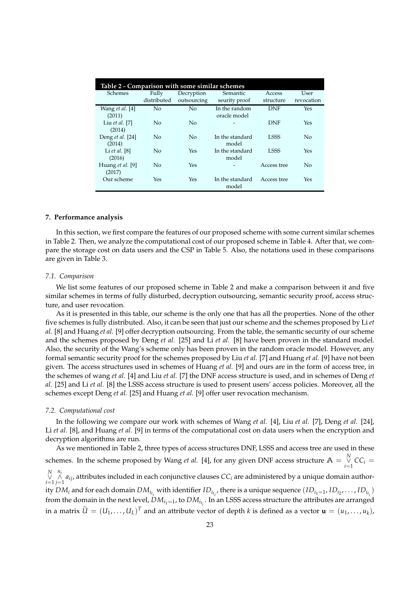<span id="page-22-0"></span>

| Table 2 – Comparison with some similar schemes |             |             |                 |             |            |  |  |
|------------------------------------------------|-------------|-------------|-----------------|-------------|------------|--|--|
| Schemes                                        | Fully       | Decryption  | Semantic        | Access      | User       |  |  |
|                                                | distributed | outsourcing | seurity proof   | structure   | revocation |  |  |
| Wang et al. [4]                                | No          | No          | In the random   | <b>DNF</b>  | <b>Yes</b> |  |  |
| (2011)                                         |             |             | oracle model    |             |            |  |  |
| Liu et al. [7]                                 | No          | No          |                 | <b>DNF</b>  | Yes        |  |  |
| (2014)                                         |             |             |                 |             |            |  |  |
| Deng et al. [24]                               | No          | No          | In the standard | LSSS        | No         |  |  |
| (2014)                                         |             |             | model           |             |            |  |  |
| Li et al. $[8]$                                | No          | Yes         | In the standard | LSSS        | Yes        |  |  |
| (2016)                                         |             |             | model           |             |            |  |  |
| Huang et al. [9]                               | No          | Yes         |                 | Access tree | No         |  |  |
| (2017)                                         |             |             |                 |             |            |  |  |
| Our scheme                                     | Yes         | Yes         | In the standard | Access tree | Yes        |  |  |
|                                                |             |             | model           |             |            |  |  |

# **7. Performance analysis**

In this section, we first compare the features of our proposed scheme with some current similar schemes in Table 2. Then, we analyze the computational cost of our proposed scheme in Table 4. After that, we compare the storage cost on data users and the CSP in Table 5. Also, the notations used in these comparisons are given in Table 3.

#### *7.1. Co[mp](#page-22-0)arison*

We list some features of our proposed scheme in Tab[le](#page-25-2) 2 and make a comparison between it and five similar schemes i[n t](#page-23-0)erms of fully disturbed, decryption outsourcing, semantic security proof, access structure, and user revocation.

As it is presented in this table, our scheme is the only one that has all the properties. None of the other five schemes is fully distributed. Also, it can be seen that jus[t o](#page-22-0)ur scheme and the schemes proposed by Li *et al.* [8] and Huang *et al.* [9] offer decryption outsourcing. From the table, the semantic security of our scheme and the schemes proposed by Deng *et al.* [25] and Li *et al.* [8] have been proven in the standard model. Also, the security of the Wang's scheme only has been proven in the random oracle model. However, any formal semantic security proof for the schemes proposed by Liu *et al.* [7] and Huang *et al.* [9] have not been giv[en](#page-26-5). The access struc[tu](#page-26-6)res used in schemes of Huang *et al.* [9] and ours are in the form of access tree, in the schemes of wang *et al.* [4] and Liu *et al.* [\[7\]](#page-26-20) the DNF acces[s s](#page-26-5)tructure is used, and in schemes of Deng *et al.* [25] and Li *et al.* [8] the LSSS access structure is used to present users' access policies. Moreover, all the schemes except Deng *et al.* [25] and Huang *et al.* [9] offer user revocat[io](#page-26-4)n mechanism.

#### *7.2. Computational cost*

[In](#page-26-20) the following [w](#page-26-5)e compare our work with schemes of Wang *et al.* [4], Liu *et al.* [7], Deng *et al.* [24], Li *et al.* [8], and Huang *et al.* [\[9](#page-26-20)] in terms of the c[om](#page-26-6)putational cost on data users when the encryption and decryption algorithms are run.

As we mentioned in Table 2, three types of access structures DNF, LSSS and access tree are used in these schemes[.](#page-26-5) In the scheme pro[po](#page-26-6)sed by Wang *et al.* [4], for any given DN[F a](#page-26-1)ccess str[u](#page-26-4)cture  $A = \bigvee_{i=1}^{N} CC_i =$  $A = \bigvee_{i=1}^{N} CC_i =$  $A = \bigvee_{i=1}^{N} CC_i =$ *i*=1 *N ∨ i*=1 *n*<sub>*i*</sub> *a*<sub>*ij*</sub>, attributes included in each conjunctive clauses  $CC_i$  are administered by a unique domain author-j=1</sub> ity  $DM_i$  and for each domain  $DM_{i_{t_i}}$  with identifier  $ID_{i_{t_i'}}$  $ID_{i_{t_i'}}$ , there is a unique sequence  $(ID_{i_1=1},ID_{i_2},\ldots,ID_{i_{t_i}})$ from the domain in the next level,  $DM_{i_1=1}$ , to  $DM_{i_{t_i}}$ . In an LSSS access structure the attributes are arranged in a matrix  $\widetilde{U} = (U_1, \ldots, U_L)^T$  and an attribute vector of depth *k* is defined as a vector  $\mathbf{u} = (u_1, \ldots, u_k)$ ,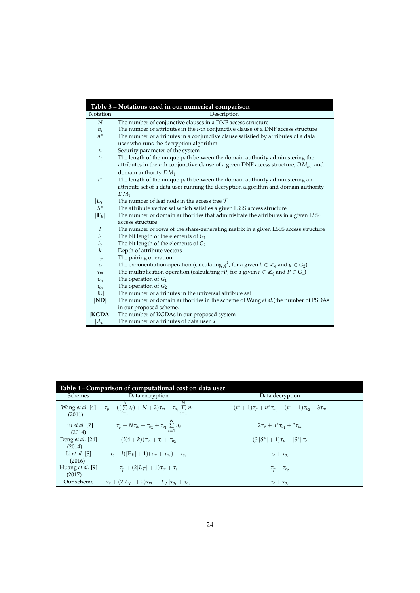<span id="page-23-0"></span>

| Table 3 - Notations used in our numerical comparison |                                                                                                      |  |  |
|------------------------------------------------------|------------------------------------------------------------------------------------------------------|--|--|
| Notation                                             | Description                                                                                          |  |  |
| $\overline{N}$                                       | The number of conjunctive clauses in a DNF access structure                                          |  |  |
| $n_i$                                                | The number of attributes in the <i>i</i> -th conjunctive clause of a DNF access structure            |  |  |
| $n^*$                                                | The number of attributes in a conjunctive clause satisfied by attributes of a data                   |  |  |
|                                                      | user who runs the decryption algorithm                                                               |  |  |
| $\boldsymbol{n}$                                     | Security parameter of the system                                                                     |  |  |
| $t_i$                                                | The length of the unique path between the domain authority administering the                         |  |  |
|                                                      | attributes in the <i>i</i> -th conjunctive clause of a given DNF access structure, $DM_{i_t}$ , and  |  |  |
|                                                      | domain authority $DM_1$                                                                              |  |  |
| $t^*$                                                | The length of the unique path between the domain authority administering an                          |  |  |
|                                                      | attribute set of a data user running the decryption algorithm and domain authority                   |  |  |
|                                                      | $DM_1$                                                                                               |  |  |
| $ L_{\mathcal{T}} $                                  | The number of leaf nods in the access tree $\mathcal T$                                              |  |  |
| $S^*$                                                | The attribute vector set which satisfies a given LSSS access structure                               |  |  |
| $ {\bf F}_E $                                        | The number of domain authorities that administrate the attributes in a given LSSS                    |  |  |
|                                                      | access structure                                                                                     |  |  |
| l                                                    | The number of rows of the share-generating matrix in a given LSSS access structure                   |  |  |
| $l_1$                                                | The bit length of the elements of $G_1$                                                              |  |  |
| l <sub>2</sub>                                       | The bit length of the elements of $G_2$                                                              |  |  |
| $\boldsymbol{k}$                                     | Depth of attribute vectors                                                                           |  |  |
| $\tau_p$                                             | The pairing operation                                                                                |  |  |
| $\tau_e$                                             | The exponentiation operation (calculating $g^k$ , for a given $k \in \mathbb{Z}_q$ and $g \in G_2$ ) |  |  |
| $\tau_m$                                             | The multiplication operation (calculating rP, for a given $r \in \mathbb{Z}_q$ and $P \in G_1$ )     |  |  |
| $\tau_{o_1}$                                         | The operation of $G_1$                                                                               |  |  |
| $\tau_{o_2}$                                         | The operation of $G_2$                                                                               |  |  |
| $ \mathbf{U} $                                       | The number of attributes in the universal attribute set                                              |  |  |
| ND                                                   | The number of domain authorities in the scheme of Wang <i>et al</i> . (the number of PSDAs           |  |  |
|                                                      | in our proposed scheme.                                                                              |  |  |
| KGDA                                                 | The number of KGDAs in our proposed system                                                           |  |  |
| $ A_u $                                              | The number of attributes of data user $u$                                                            |  |  |

<span id="page-23-1"></span>

| Table 4 - Comparison of computational cost on data user |                                                                                                             |                                                               |  |  |  |
|---------------------------------------------------------|-------------------------------------------------------------------------------------------------------------|---------------------------------------------------------------|--|--|--|
| Schemes                                                 | Data encryption                                                                                             | Data decryption                                               |  |  |  |
| (2011)                                                  | Wang <i>et al.</i> [4] $\tau_p + ((\sum_{i=1}^{\infty} t_i) + N + 2)\tau_m + \tau_{o_1} \sum_{i=1}^{N} n_i$ | $(t^*+1)\tau_p + n^*\tau_{0_1} + (t^*+1)\tau_{0_2} + 3\tau_m$ |  |  |  |
| Liu et al. [7]<br>(2014)                                | $\tau_p + N \tau_m + \tau_{o_2} + \tau_{o_1} \sum_{i=1}^{N} n_i$                                            | $2\tau_p + n^*\tau_{o_1} + 3\tau_m$                           |  |  |  |
| Deng <i>et al.</i> $[24]$                               | $(l(4+k))\tau_m+\tau_e+\tau_o$                                                                              | $(3 S^* +1)\tau_p+ S^* \tau_e$                                |  |  |  |
| (2014)                                                  |                                                                                                             |                                                               |  |  |  |
| Li et al. $[8]$                                         | $\tau_e + l( \mathbb{F}_F  + 1)(\tau_m + \tau_{02}) + \tau_{01}$                                            | $\tau_e + \tau_{o_2}$                                         |  |  |  |
| (2016)                                                  |                                                                                                             |                                                               |  |  |  |
| Huang et al. [9]                                        | $\tau_p + (2 L_{\mathcal{T}}  + 1)\tau_m + \tau_e$                                                          | $\tau_p + \tau_{o_2}$                                         |  |  |  |
| (2017)                                                  |                                                                                                             |                                                               |  |  |  |
| Our scheme                                              | $\tau_e + (2 L_T  + 2)\tau_m +  L_T \tau_{o_1} + \tau_{o_2}$                                                | $\tau_e + \tau_{o_2}$                                         |  |  |  |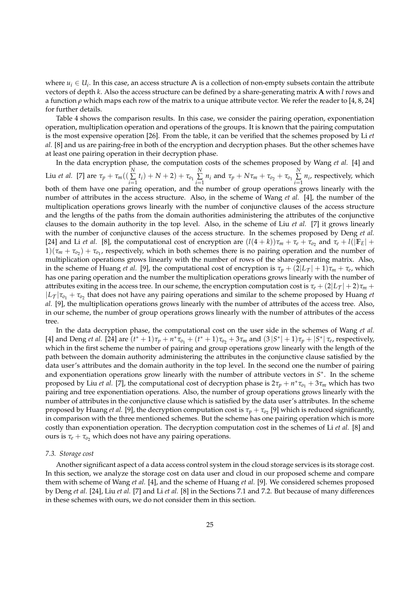where  $u_i \in U_i$ . In this case, an access structure  $\mathbb A$  is a collection of non-empty subsets contain the attribute vectors of depth *k*. Also the access structure can be defined by a share-generating matrix **A** with *l* rows and a function *ρ* which maps each row of the matrix to a unique attribute vector. We refer the reader to [4, 8, 24] for further details.

Table 4 shows the comparison results. In this case, we consider the pairing operation, exponentiation operation, multiplication operation and operations of the groups. It is known that the pairing computation is the most expensive operation [26]. From the table, it can be verified that the schemes proposed [b](#page-26-1)[y L](#page-26-5)[i](#page-26-21) *et al.* [8] and us are pairing-free in both of the encryption and decryption phases. But the other schemes have at least o[ne](#page-23-1) pairing operation in their decryption phase.

In the data encryption phase, the computation costs of the schemes proposed by Wang *et al.* [4] and Liu *[e](#page-26-5)t al*. [7] are  $\tau_p + \tau_m((\sum^N$  $\sum_{i=1}^{N} t_i$ ) [+](#page-26-22) *N* + 2) + *τ*<sub>*o*1</sub></sub> $\sum_{i=1}^{N}$ *N*<sub>*i*=1</sub> *n<sub><i>i*</sub> and *τ<sub>p</sub>* + *Nτ<sub>m</sub>* + *τ*<sub>*o*2</sub></sub> + *τ*<sub>*o*<sub>1</sub></sup>  $\sum_{i=1}^{N}$ </sub>  $\sum\limits_{i=1}^{\infty} n_i$ , respectively, which both of them have one paring operation, and the number of group operations grows linearly with the number of attributes in the access structure. Also, in the scheme of Wang *et al.* [4], the number [o](#page-26-1)f the multiplica[tio](#page-26-4)n operations grows linearly with the number of conjunctive clauses of the access structure and the lengths of the paths from the domain authorities administering the attributes of the conjunctive clauses to the domain authority in the top level. Also, in the scheme of Liu *et al.* [7] it grows linearly with the number of conjunctive clauses of the access structure. In the schemes pr[op](#page-26-1)osed by Deng *et al.* [24] and Li *et al.* [8], the computational cost of encryption are  $(l(4 + k))\tau_m + \tau_e + \tau_{o_2}$  and  $\tau_e + l(|\mathbb{F}_E| +$  $1/(\tau_m + \tau_{o_2}) + \tau_{o_1}$ , respectively, which in both schemes there is no pairing operation and the number of multiplication operations grows linearly with the number of rows of the share-gene[ra](#page-26-4)ting matrix. Also, in the scheme of Huang *et al.* [9], the computational cost of encryption is  $\tau_p + (2|L_{\mathcal{T}}| + 1)\tau_m + \tau_e$ , which [has](#page-26-21) one paring op[er](#page-26-5)ation and the number the multiplication operations grows linearly with the number of attributes exiting in the access tree. In our scheme, the encryption computation cost is  $\tau_e + (2|L_T| + 2)\tau_m +$  $|L_{\mathcal{T}}|\tau_{o_1} + \tau_{o_2}$  that does not have any pairing operations and similar to the scheme proposed by Huang *et al.* [9], the multiplication oper[ati](#page-26-6)ons grows linearly with the number of attributes of the access tree. Also, in our scheme, the number of group operations grows linearly with the number of attributes of the access tree.

In the data decryption phase, the computational cost on the user side in the schemes of Wang *et al.* [4] [an](#page-26-6)d Deng *et al.* [24] are  $(t^* + 1)\tau_p + n^*\tau_{o_1} + (t^* + 1)\tau_{o_2} + 3\tau_m$  and  $(3|S^*| + 1)\tau_p + |S^*|\tau_e$ , respectively, which in the first scheme the number of pairing and group operations grow linearly with the length of the path between the domain authority administering the attributes in the conjunctive clause satisfied by the data user's attributes and the domain authority in the top level. In the second one the number of pairing [an](#page-26-1)d exponentiation [op](#page-26-21)erations grow linearly with the number of attribute vectors in *S ∗* . In the scheme proposed by Liu *et al.* [7], the computational cost of decryption phase is  $2\tau_p + n^*\tau_{o_1} + 3\tau_m$  which has two pairing and tree exponentiation operations. Also, the number of group operations grows linearly with the number of attributes in the conjunctive clause which is satisfied by the data user's attributes. In the scheme proposed by Huang *et al*. [9], the decryption computation cost is  $\tau_p+\tau_{o_2}$  [9] which is reduced significantly, in comparison with the [th](#page-26-4)ree mentioned schemes. But the scheme has one pairing operation which is more costly than exponentiation operation. The decryption computation cost in the schemes of Li *et al.* [8] and ours is  $\tau_e + \tau_{o_2}$  which does not have any pairing operations.

## *7.3. Storage cost*

Another significant aspect of a data access control system in the cloud storage services is its stora[ge](#page-26-5) cost. In this section, we analyze the storage cost on data user and cloud in our proposed scheme and compare them with scheme of Wang *et al.* [4], and the scheme of Huang *et al.* [9]. We considered schemes proposed by Deng *et al.* [24], Liu *et al.* [7] and Li *et al.* [8] in the Sections 7.1 and 7.2. But because of many differences in these schemes with ours, we do not consider them in this section.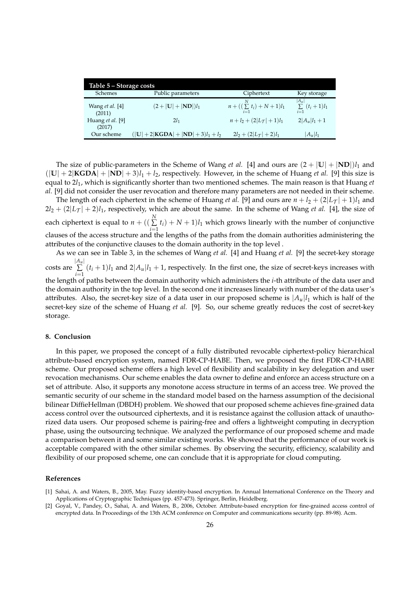| Table 5 – Storage costs    |                                       |                                         |                                    |  |  |  |
|----------------------------|---------------------------------------|-----------------------------------------|------------------------------------|--|--|--|
| Schemes                    | Public parameters                     | Ciphertext                              | Key storage                        |  |  |  |
| Wang et al. [4]<br>(2011)  | $(2+ U + ND )l_1$                     | $n + ((\sum_{i=1}^{N} t_i) + N + 1)l_1$ | $\sum_{i=1}^{ A_u } (t_i + 1) l_1$ |  |  |  |
| Huang et al. [9]<br>(2017) | 2l <sub>1</sub>                       | $n+l_2+(2 L_{\mathcal{T}} +1)l_1$       | $2 A_u l_1+1$                      |  |  |  |
| Our scheme                 | $( U  + 2 KGDA  +  ND  + 3)l_1 + l_2$ | $2l_2 + (2 L_T  + 2)l_1$                | $A_u l_1$                          |  |  |  |

<span id="page-25-2"></span>The size of public-parameters in the Scheme of Wang *et al.* [4] and ours are  $(2 + |U| + |ND|)l_1$  and  $(|U| + 2|KGDA| + |ND| + 3)$  $l_1 + l_2$ , respectively. However, in the scheme of Huang *et al.* [9] this size is equal to 2*l*1, which is significantly shorter than two mentioned schemes. The main reason is that Huang *et al.* [9] did not consider the user revocation and therefore many parameters are not needed in their scheme.

The length of each ciphertext in the scheme of Huang *et al.* [9[\] a](#page-26-1)nd ours are  $n + l_2 + (2|L_T| + 1)l_1$  and  $2l_2 + (2|L_7| + 2)l_1$ , respectively, which are about the same. In the scheme of Wang *et al.* [[4\]](#page-26-6), the size of eac[h](#page-26-6) ciphertext is equal to  $n + ((\sum^N$  $\sum_{i=1}^{n} t_i$  + *N* + 1)*l*<sub>1</sub> which grows linearly with the number of conjunctive clauses of the access structure and the lengths of the paths fro[m t](#page-26-6)he domain authorities administering the attributes of the conjunctive clauses to the domain authority in the top level .

As we can see in Table 3, in the schemes of Wang *et al.* [4] and Huang *et al.* [9] the secret-key storage costs are *|Au|* ∑  $\sum_{i=1}^{n} (t_i + 1)l_1$  and  $2|A_u|l_1 + 1$ , respectively. In the first one, the size of secret-keys increases with the length of paths between the domain authority which administers the *i*-th attribute of the data user and the domain authority in th[e t](#page-23-0)op level. In the second one it inc[re](#page-26-1)ases linearly with [nu](#page-26-6)mber of the data user's attributes. Also, the secret-key size of a data user in our proposed scheme is *|Au|l*<sup>1</sup> which is half of the secret-key size of the scheme of Huang *et al.* [9]. So, our scheme greatly reduces the cost of secret-key storage.

## **8. Conclusion**

In this paper, we proposed the concept of a fully distributed revocable ciphertext-policy hierarchical attribute-based encryption system, named FDR-CP-HABE. Then, we proposed the first FDR-CP-HABE scheme. Our proposed scheme offers a high level of flexibility and scalability in key delegation and user revocation mechanisms. Our scheme enables the data owner to define and enforce an access structure on a set of attribute. Also, it supports any monotone access structure in terms of an access tree. We proved the semantic security of our scheme in the standard model based on the harness assumption of the decisional bilinear DiffieHellman (DBDH) problem. We showed that our proposed scheme achieves fine-grained data access control over the outsourced ciphertexts, and it is resistance against the collusion attack of unauthorized data users. Our proposed scheme is pairing-free and offers a lightweight computing in decryption phase, using the outsourcing technique. We analyzed the performance of our proposed scheme and made a comparison between it and some similar existing works. We showed that the performance of our work is acceptable compared with the other similar schemes. By observing the security, efficiency, scalability and flexibility of our proposed scheme, one can conclude that it is appropriate for cloud computing.

## **References**

<sup>[1]</sup> Sahai, A. and Waters, B., 2005, May. Fuzzy identity-based encryption. In Annual International Conference on the Theory and Applications of Cryptographic Techniques (pp. 457-473). Springer, Berlin, Heidelberg.

<span id="page-25-1"></span><span id="page-25-0"></span><sup>[2]</sup> Goyal, V., Pandey, O., Sahai, A. and Waters, B., 2006, October. Attribute-based encryption for fine-grained access control of encrypted data. In Proceedings of the 13th ACM conference on Computer and communications security (pp. 89-98). Acm.